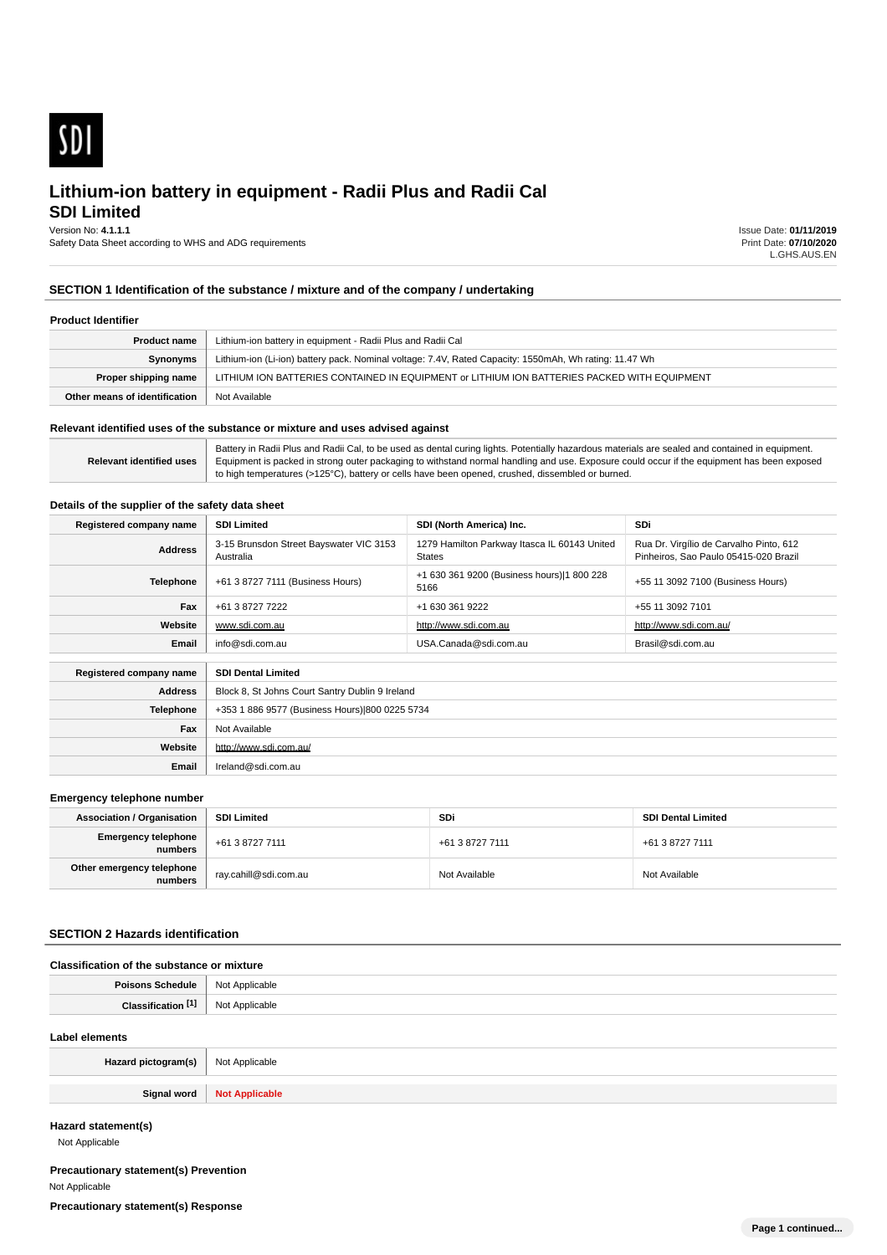

**SDI Limited**

Version No: **4.1.1.1** Safety Data Sheet according to WHS and ADG requirements Issue Date: **01/11/2019** Print Date: **07/10/2020** L.GHS.AUS.EN

# **SECTION 1 Identification of the substance / mixture and of the company / undertaking**

### **Product Identifier**

| <b>Product name</b>           | Lithium-ion battery in equipment - Radii Plus and Radii Cal                                            |
|-------------------------------|--------------------------------------------------------------------------------------------------------|
| Synonyms                      | Lithium-ion (Li-ion) battery pack. Nominal voltage: 7.4V, Rated Capacity: 1550mAh, Wh rating: 11.47 Wh |
| Proper shipping name          | LITHIUM ION BATTERIES CONTAINED IN EQUIPMENT or LITHIUM ION BATTERIES PACKED WITH EQUIPMENT            |
| Other means of identification | Not Available                                                                                          |

### **Relevant identified uses of the substance or mixture and uses advised against**

**Relevant identified uses** Battery in Radii Plus and Radii Cal, to be used as dental curing lights. Potentially hazardous materials are sealed and contained in equipment. Equipment is packed in strong outer packaging to withstand normal handling and use. Exposure could occur if the equipment has been exposed to high temperatures (>125°C), battery or cells have been opened, crushed, dissembled or burned.

### **Details of the supplier of the safety data sheet**

| Registered company name | <b>SDI Limited</b>                                   | <b>SDi</b>                                                    |                                                                                  |  |  |  |
|-------------------------|------------------------------------------------------|---------------------------------------------------------------|----------------------------------------------------------------------------------|--|--|--|
| <b>Address</b>          | 3-15 Brunsdon Street Bayswater VIC 3153<br>Australia | 1279 Hamilton Parkway Itasca IL 60143 United<br><b>States</b> | Rua Dr. Virgílio de Carvalho Pinto, 612<br>Pinheiros, Sao Paulo 05415-020 Brazil |  |  |  |
| <b>Telephone</b>        | +61 3 8727 7111 (Business Hours)                     | +1 630 361 9200 (Business hours) 1 800 228<br>5166            | +55 11 3092 7100 (Business Hours)                                                |  |  |  |
| Fax                     | +61 3 8727 7222                                      | +1 630 361 9222                                               | +55 11 3092 7101                                                                 |  |  |  |
| Website                 | www.sdi.com.au                                       | http://www.sdi.com.au/                                        |                                                                                  |  |  |  |
| Email                   | info@sdi.com.au<br>USA.Canada@sdi.com.au             |                                                               | Brasil@sdi.com.au                                                                |  |  |  |
| Registered company name | <b>SDI Dental Limited</b>                            |                                                               |                                                                                  |  |  |  |
| <b>Address</b>          | Block 8, St Johns Court Santry Dublin 9 Ireland      |                                                               |                                                                                  |  |  |  |
| <b>Telephone</b>        | +353 1 886 9577 (Business Hours) 800 0225 5734       |                                                               |                                                                                  |  |  |  |
| Fax                     | Not Available                                        |                                                               |                                                                                  |  |  |  |
| Website                 | http://www.sdi.com.au/                               |                                                               |                                                                                  |  |  |  |
| Email                   | Ireland@sdi.com.au                                   |                                                               |                                                                                  |  |  |  |

### **Emergency telephone number**

| <b>Association / Organisation</b>    | <b>SDI Limited</b>    | <b>SDi</b>      | <b>SDI Dental Limited</b> |  |
|--------------------------------------|-----------------------|-----------------|---------------------------|--|
| Emergency telephone<br>numbers       | +61 3 8727 7111       | +61 3 8727 7111 | +61 3 8727 7111           |  |
| Other emergency telephone<br>numbers | ray.cahill@sdi.com.au | Not Available   | Not Available             |  |

### **SECTION 2 Hazards identification**

| Classification of the substance or mixture |                |  |  |  |
|--------------------------------------------|----------------|--|--|--|
| <b>Poisons Schedule</b>                    | Not Applicable |  |  |  |
| Classification [1]                         | Not Applicable |  |  |  |
| Label elements                             |                |  |  |  |
| Hazard pictogram(s)                        | Not Applicable |  |  |  |

**Hazard statement(s)**

Not Applicable

**Precautionary statement(s) Prevention** Not Applicable

**Signal word Not Applicable**

**Precautionary statement(s) Response**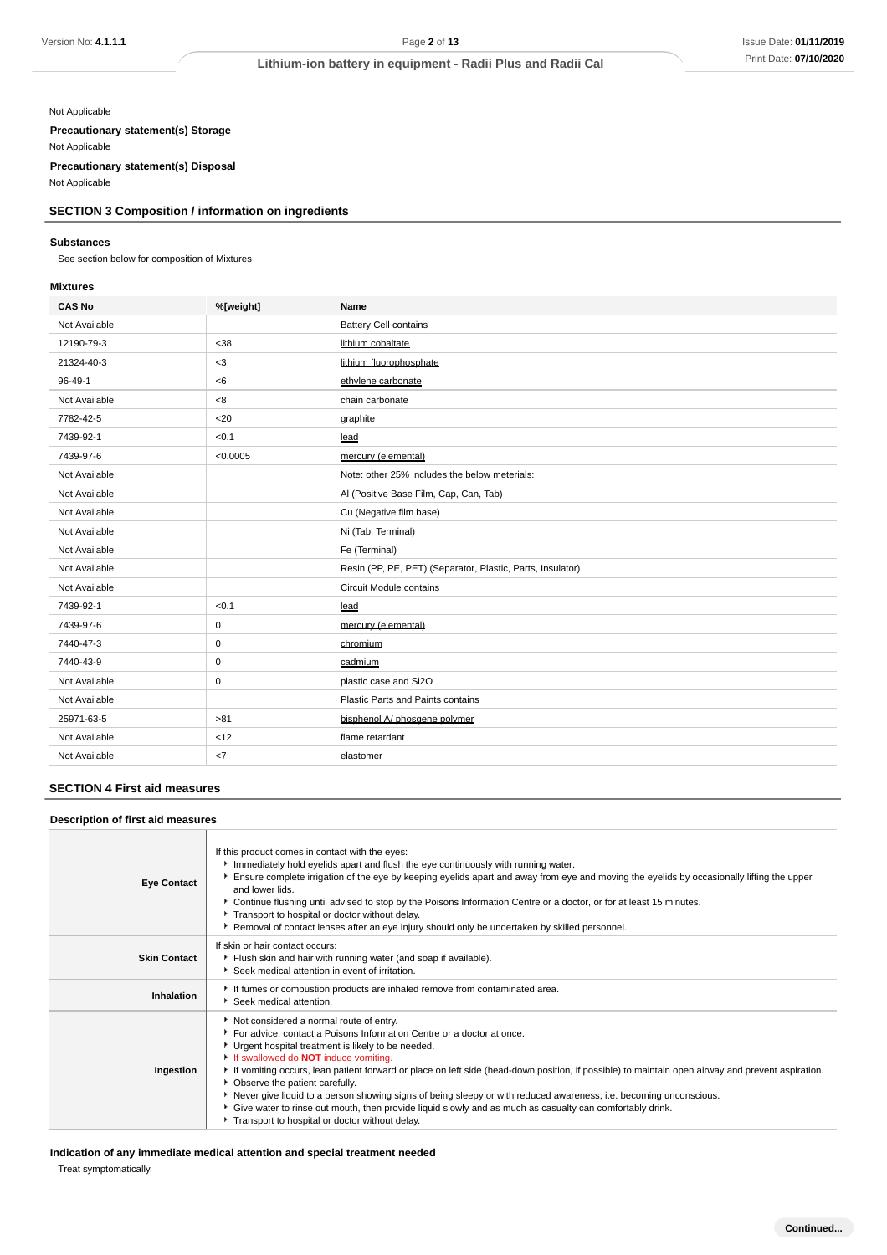### Not Applicable

**Precautionary statement(s) Storage**

Not Applicable

**Precautionary statement(s) Disposal**

Not Applicable

# **SECTION 3 Composition / information on ingredients**

### **Substances**

See section below for composition of Mixtures

# **Mixtures**

| <b>CAS No</b> | %[weight] | Name                                                       |
|---------------|-----------|------------------------------------------------------------|
| Not Available |           | <b>Battery Cell contains</b>                               |
| 12190-79-3    | $38$      | lithium cobaltate                                          |
| 21324-40-3    | $<$ 3     | lithium fluorophosphate                                    |
| 96-49-1       | <6        | ethylene carbonate                                         |
| Not Available | <8        | chain carbonate                                            |
| 7782-42-5     | $20$      | graphite                                                   |
| 7439-92-1     | < 0.1     | lead                                                       |
| 7439-97-6     | < 0.0005  | mercury (elemental)                                        |
| Not Available |           | Note: other 25% includes the below meterials:              |
| Not Available |           | Al (Positive Base Film, Cap, Can, Tab)                     |
| Not Available |           | Cu (Negative film base)                                    |
| Not Available |           | Ni (Tab, Terminal)                                         |
| Not Available |           | Fe (Terminal)                                              |
| Not Available |           | Resin (PP, PE, PET) (Separator, Plastic, Parts, Insulator) |
| Not Available |           | Circuit Module contains                                    |
| 7439-92-1     | < 0.1     | lead                                                       |
| 7439-97-6     | 0         | mercury (elemental)                                        |
| 7440-47-3     | 0         | chromium                                                   |
| 7440-43-9     | 0         | cadmium                                                    |
| Not Available | 0         | plastic case and Si2O                                      |
| Not Available |           | Plastic Parts and Paints contains                          |
| 25971-63-5    | >81       | bisphenol A/ phosgene polymer                              |
| Not Available | < 12      | flame retardant                                            |
| Not Available | <7        | elastomer                                                  |

# **SECTION 4 First aid measures**

### **Description of first aid measures**

| <b>Eye Contact</b>  | If this product comes in contact with the eyes:<br>Immediately hold eyelids apart and flush the eye continuously with running water.<br>Ensure complete irrigation of the eye by keeping eyelids apart and away from eye and moving the eyelids by occasionally lifting the upper<br>and lower lids.<br>▶ Continue flushing until advised to stop by the Poisons Information Centre or a doctor, or for at least 15 minutes.<br>Transport to hospital or doctor without delay.<br>▶ Removal of contact lenses after an eye injury should only be undertaken by skilled personnel.                                                                                                                   |
|---------------------|-----------------------------------------------------------------------------------------------------------------------------------------------------------------------------------------------------------------------------------------------------------------------------------------------------------------------------------------------------------------------------------------------------------------------------------------------------------------------------------------------------------------------------------------------------------------------------------------------------------------------------------------------------------------------------------------------------|
| <b>Skin Contact</b> | If skin or hair contact occurs:<br>Flush skin and hair with running water (and soap if available).<br>Seek medical attention in event of irritation.                                                                                                                                                                                                                                                                                                                                                                                                                                                                                                                                                |
| Inhalation          | If fumes or combustion products are inhaled remove from contaminated area.<br>▶ Seek medical attention.                                                                                                                                                                                                                                                                                                                                                                                                                                                                                                                                                                                             |
| Ingestion           | Not considered a normal route of entry.<br>For advice, contact a Poisons Information Centre or a doctor at once.<br>Urgent hospital treatment is likely to be needed.<br>If swallowed do <b>NOT</b> induce vomiting.<br>▶ If vomiting occurs, lean patient forward or place on left side (head-down position, if possible) to maintain open airway and prevent aspiration.<br>• Observe the patient carefully.<br>▶ Never give liquid to a person showing signs of being sleepy or with reduced awareness; i.e. becoming unconscious.<br>Give water to rinse out mouth, then provide liquid slowly and as much as casualty can comfortably drink.<br>Transport to hospital or doctor without delay. |

**Indication of any immediate medical attention and special treatment needed** Treat symptomatically.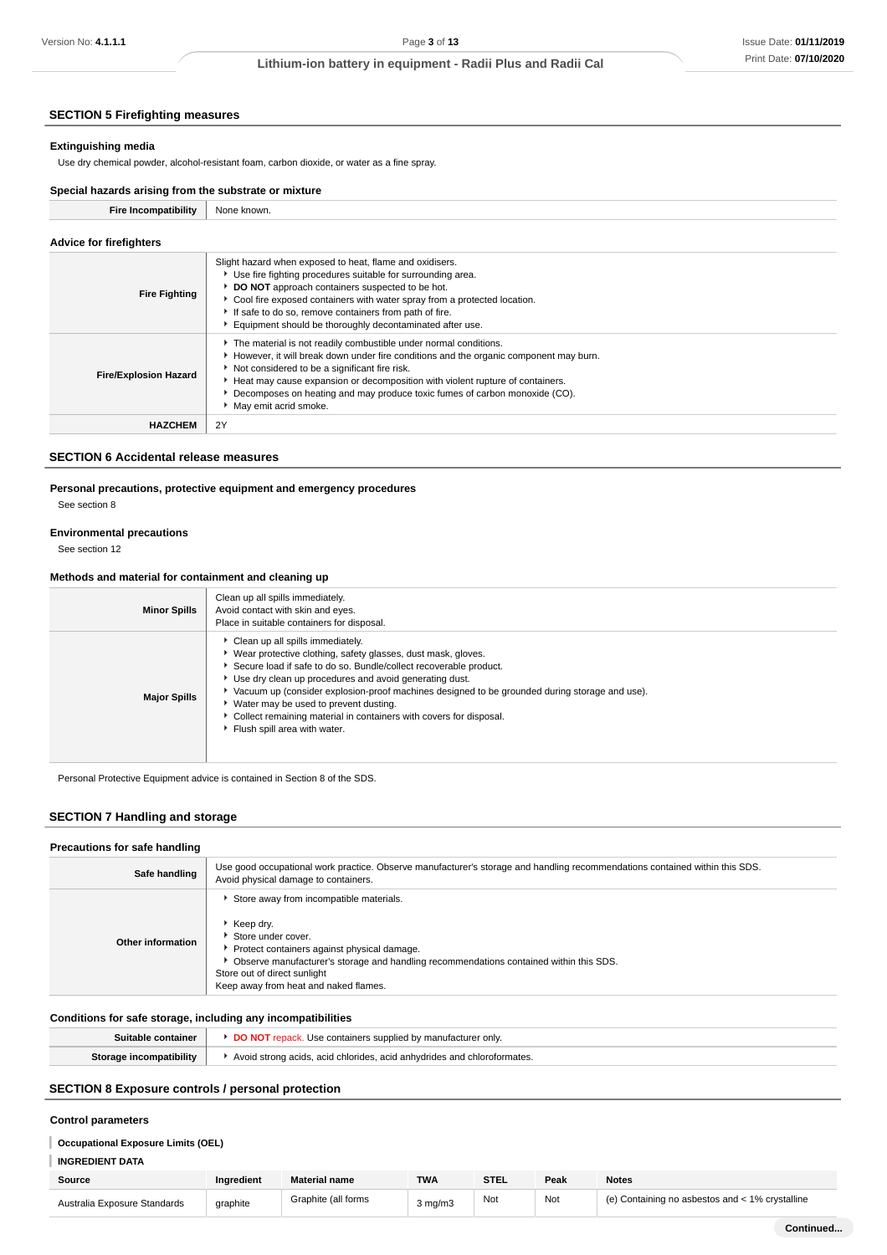# **SECTION 5 Firefighting measures**

### **Extinguishing media**

Use dry chemical powder, alcohol-resistant foam, carbon dioxide, or water as a fine spray.

### **Special hazards arising from the substrate or mixture**

| <b>Fire Incompatibility</b>    | None known.                                                                                                                                                                                                                                                                                                                                                                                        |
|--------------------------------|----------------------------------------------------------------------------------------------------------------------------------------------------------------------------------------------------------------------------------------------------------------------------------------------------------------------------------------------------------------------------------------------------|
| <b>Advice for firefighters</b> |                                                                                                                                                                                                                                                                                                                                                                                                    |
| <b>Fire Fighting</b>           | Slight hazard when exposed to heat, flame and oxidisers.<br>▶ Use fire fighting procedures suitable for surrounding area.<br>DO NOT approach containers suspected to be hot.<br>Cool fire exposed containers with water spray from a protected location.<br>If safe to do so, remove containers from path of fire.<br>Equipment should be thoroughly decontaminated after use.                     |
| <b>Fire/Explosion Hazard</b>   | The material is not readily combustible under normal conditions.<br>However, it will break down under fire conditions and the organic component may burn.<br>Not considered to be a significant fire risk.<br>Heat may cause expansion or decomposition with violent rupture of containers.<br>Decomposes on heating and may produce toxic fumes of carbon monoxide (CO).<br>May emit acrid smoke. |
| <b>HAZCHEM</b>                 | 2Y                                                                                                                                                                                                                                                                                                                                                                                                 |

### **SECTION 6 Accidental release measures**

### **Personal precautions, protective equipment and emergency procedures**

See section 8

### **Environmental precautions**

See section 12

# **Methods and material for containment and cleaning up**

| <b>Minor Spills</b> | Clean up all spills immediately.<br>Avoid contact with skin and eyes.<br>Place in suitable containers for disposal.                                                                                                                                                                                                                                                                                                                                                                   |
|---------------------|---------------------------------------------------------------------------------------------------------------------------------------------------------------------------------------------------------------------------------------------------------------------------------------------------------------------------------------------------------------------------------------------------------------------------------------------------------------------------------------|
| <b>Major Spills</b> | Clean up all spills immediately.<br>▶ Wear protective clothing, safety glasses, dust mask, gloves.<br>Secure load if safe to do so. Bundle/collect recoverable product.<br>Use dry clean up procedures and avoid generating dust.<br>▶ Vacuum up (consider explosion-proof machines designed to be grounded during storage and use).<br>▶ Water may be used to prevent dusting.<br>Collect remaining material in containers with covers for disposal.<br>Flush spill area with water. |

Personal Protective Equipment advice is contained in Section 8 of the SDS.

# **SECTION 7 Handling and storage**

### **Precautions for safe handling**

| Safe handling     | Use good occupational work practice. Observe manufacturer's storage and handling recommendations contained within this SDS.<br>Avoid physical damage to containers.                                                                                                                                    |
|-------------------|--------------------------------------------------------------------------------------------------------------------------------------------------------------------------------------------------------------------------------------------------------------------------------------------------------|
| Other information | Store away from incompatible materials.<br>$\cdot$ Keep dry.<br>Store under cover.<br>Protect containers against physical damage.<br>▶ Observe manufacturer's storage and handling recommendations contained within this SDS.<br>Store out of direct sunlight<br>Keep away from heat and naked flames. |

# **Conditions for safe storage, including any incompatibilities**

| taine  | <b>QINArc</b><br>המוור<br>only.                                   |
|--------|-------------------------------------------------------------------|
| :L:114 | chloridae<br>acid anhudridge<br>$\Delta$<br>acıd<br>ates.<br>הוחה |

# **SECTION 8 Exposure controls / personal protection**

### **Control parameters**

# **Occupational Exposure Limits (OEL)**

**INGREDIENT DATA**

| Source                       | Ingredient | <b>Material name</b> | <b>TWA</b>           | <b>STEL</b> | Peak | <b>Notes</b>                                       |
|------------------------------|------------|----------------------|----------------------|-------------|------|----------------------------------------------------|
| Australia Exposure Standards | graphite   | Graphite (all forms  | $3 \text{ ma/m}$ $3$ | Not         | Not  | Containing no asbestos and < 1% crystalline<br>(n) |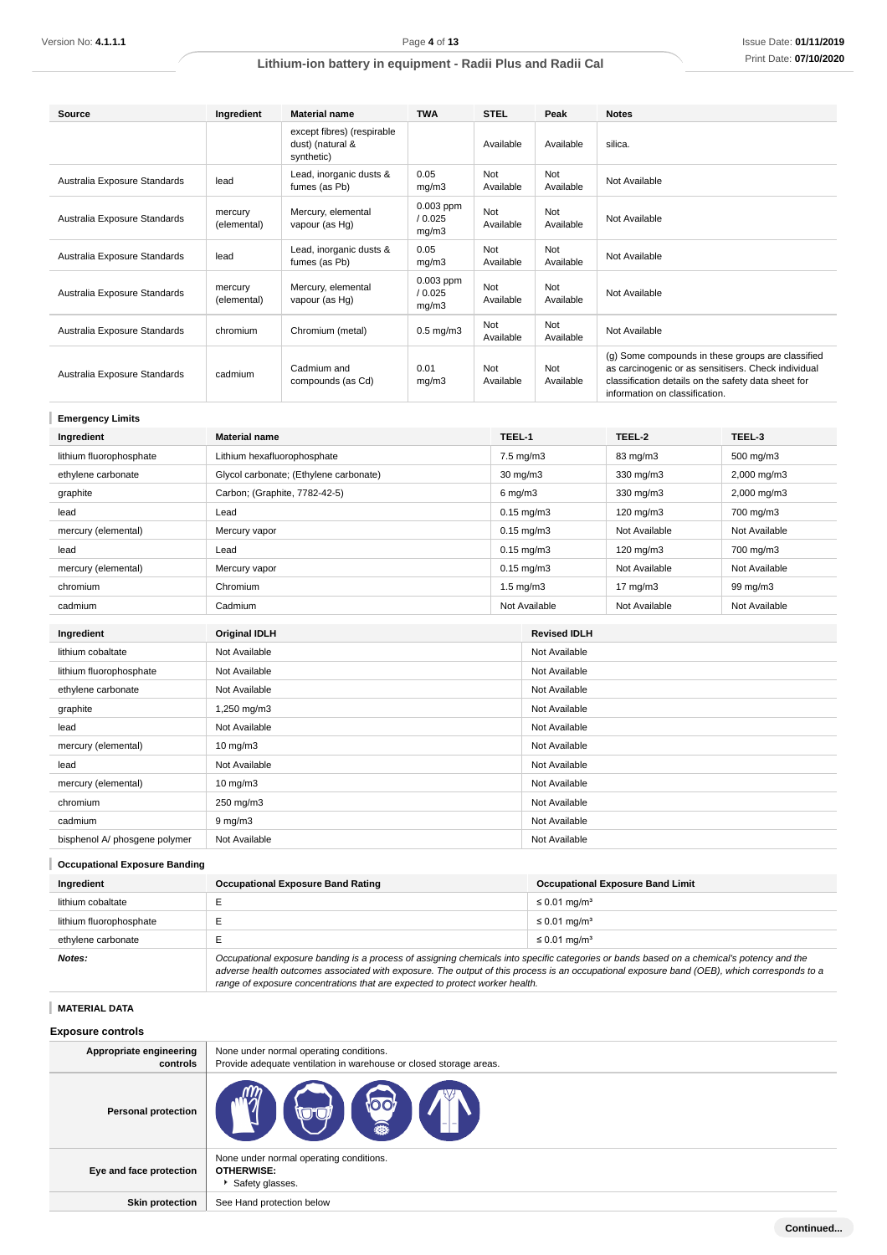| Source                       | Ingredient             | <b>Material name</b>                                         | <b>TWA</b>                      | <b>STEL</b>      | Peak             | <b>Notes</b>                                                                                                                                                                                      |
|------------------------------|------------------------|--------------------------------------------------------------|---------------------------------|------------------|------------------|---------------------------------------------------------------------------------------------------------------------------------------------------------------------------------------------------|
|                              |                        | except fibres) (respirable<br>dust) (natural &<br>synthetic) |                                 | Available        | Available        | silica.                                                                                                                                                                                           |
| Australia Exposure Standards | lead                   | Lead, inorganic dusts &<br>fumes (as Pb)                     | 0.05<br>mg/m3                   | Not<br>Available | Not<br>Available | Not Available                                                                                                                                                                                     |
| Australia Exposure Standards | mercury<br>(elemental) | Mercury, elemental<br>vapour (as Hg)                         | $0.003$ ppm<br>/ 0.025<br>mg/m3 | Not<br>Available | Not<br>Available | Not Available                                                                                                                                                                                     |
| Australia Exposure Standards | lead                   | Lead, inorganic dusts &<br>fumes (as Pb)                     | 0.05<br>mg/m3                   | Not<br>Available | Not<br>Available | Not Available                                                                                                                                                                                     |
| Australia Exposure Standards | mercury<br>(elemental) | Mercury, elemental<br>vapour (as Hg)                         | $0.003$ ppm<br>/ 0.025<br>mg/m3 | Not<br>Available | Not<br>Available | Not Available                                                                                                                                                                                     |
| Australia Exposure Standards | chromium               | Chromium (metal)                                             | $0.5$ mg/m $3$                  | Not<br>Available | Not<br>Available | Not Available                                                                                                                                                                                     |
| Australia Exposure Standards | cadmium                | Cadmium and<br>compounds (as Cd)                             | 0.01<br>mg/m3                   | Not<br>Available | Not<br>Available | (g) Some compounds in these groups are classified<br>as carcinogenic or as sensitisers. Check individual<br>classification details on the safety data sheet for<br>information on classification. |

| <b>Emergency Limits</b>       |                                        |              |                     |               |               |
|-------------------------------|----------------------------------------|--------------|---------------------|---------------|---------------|
| Ingredient                    | <b>Material name</b>                   | TEEL-1       |                     | TEEL-2        | TEEL-3        |
| lithium fluorophosphate       | Lithium hexafluorophosphate            |              | 7.5 mg/m3           | 83 mg/m3      | 500 mg/m3     |
| ethylene carbonate            | Glycol carbonate; (Ethylene carbonate) |              | 30 mg/m3            | 330 mg/m3     | 2,000 mg/m3   |
| graphite                      | Carbon; (Graphite, 7782-42-5)          | $6$ mg/m $3$ |                     | 330 mg/m3     | 2,000 mg/m3   |
| lead                          | Lead                                   |              | $0.15$ mg/m $3$     | 120 mg/m3     | 700 mg/m3     |
| mercury (elemental)           | Mercury vapor                          |              | $0.15$ mg/m $3$     | Not Available | Not Available |
| lead                          | Lead                                   |              | $0.15$ mg/m $3$     | 120 mg/m3     | 700 mg/m3     |
| mercury (elemental)           | Mercury vapor                          |              | $0.15$ mg/m $3$     | Not Available | Not Available |
| chromium                      | Chromium                               |              | $1.5$ mg/m $3$      | 17 mg/m3      | 99 mg/m3      |
| cadmium                       | Cadmium                                |              | Not Available       | Not Available | Not Available |
|                               |                                        |              | <b>Revised IDLH</b> |               |               |
| Ingredient                    | <b>Original IDLH</b>                   |              |                     |               |               |
| lithium cobaltate             | Not Available                          |              | Not Available       |               |               |
| lithium fluorophosphate       | Not Available                          |              | Not Available       |               |               |
| ethylene carbonate            | Not Available                          |              | Not Available       |               |               |
| graphite                      | 1,250 mg/m3                            |              | Not Available       |               |               |
| lead                          | Not Available                          |              | Not Available       |               |               |
| mercury (elemental)           | $10$ mg/m $3$                          |              | Not Available       |               |               |
| lead                          | Not Available                          |              | Not Available       |               |               |
| mercury (elemental)           | $10 \text{ mg/m}$                      |              | Not Available       |               |               |
| chromium                      | 250 mg/m3                              |              | Not Available       |               |               |
| cadmium                       | $9$ mg/m $3$                           |              | Not Available       |               |               |
| bisphenol A/ phosgene polymer | Not Available                          |              | Not Available       |               |               |

# **Occupational Exposure Banding**

| Ingredient              | <b>Occupational Exposure Band Rating</b>                                                                                                                                                                                                                                                 | <b>Occupational Exposure Band Limit</b> |
|-------------------------|------------------------------------------------------------------------------------------------------------------------------------------------------------------------------------------------------------------------------------------------------------------------------------------|-----------------------------------------|
| lithium cobaltate       |                                                                                                                                                                                                                                                                                          | $\leq$ 0.01 mg/m <sup>3</sup>           |
| lithium fluorophosphate |                                                                                                                                                                                                                                                                                          | $\leq$ 0.01 mg/m <sup>3</sup>           |
| ethylene carbonate      |                                                                                                                                                                                                                                                                                          | $\leq$ 0.01 mg/m <sup>3</sup>           |
| <b>Notes:</b>           | Occupational exposure banding is a process of assigning chemicals into specific categories or bands based on a chemical's potency and the<br>adverse health outcomes associated with exposure. The output of this process is an occupational exposure band (OEB), which corresponds to a |                                         |

range of exposure concentrations that are expected to protect worker health.

**MATERIAL DATA**

|  | <b>Exposure controls</b> |  |
|--|--------------------------|--|
|  |                          |  |

| Appropriate engineering<br>controls | None under normal operating conditions.<br>Provide adequate ventilation in warehouse or closed storage areas. |
|-------------------------------------|---------------------------------------------------------------------------------------------------------------|
| <b>Personal protection</b>          | OO<br><b>YHD</b>                                                                                              |
| Eye and face protection             | None under normal operating conditions.<br><b>OTHERWISE:</b><br>Safety glasses.                               |
| <b>Skin protection</b>              | See Hand protection below                                                                                     |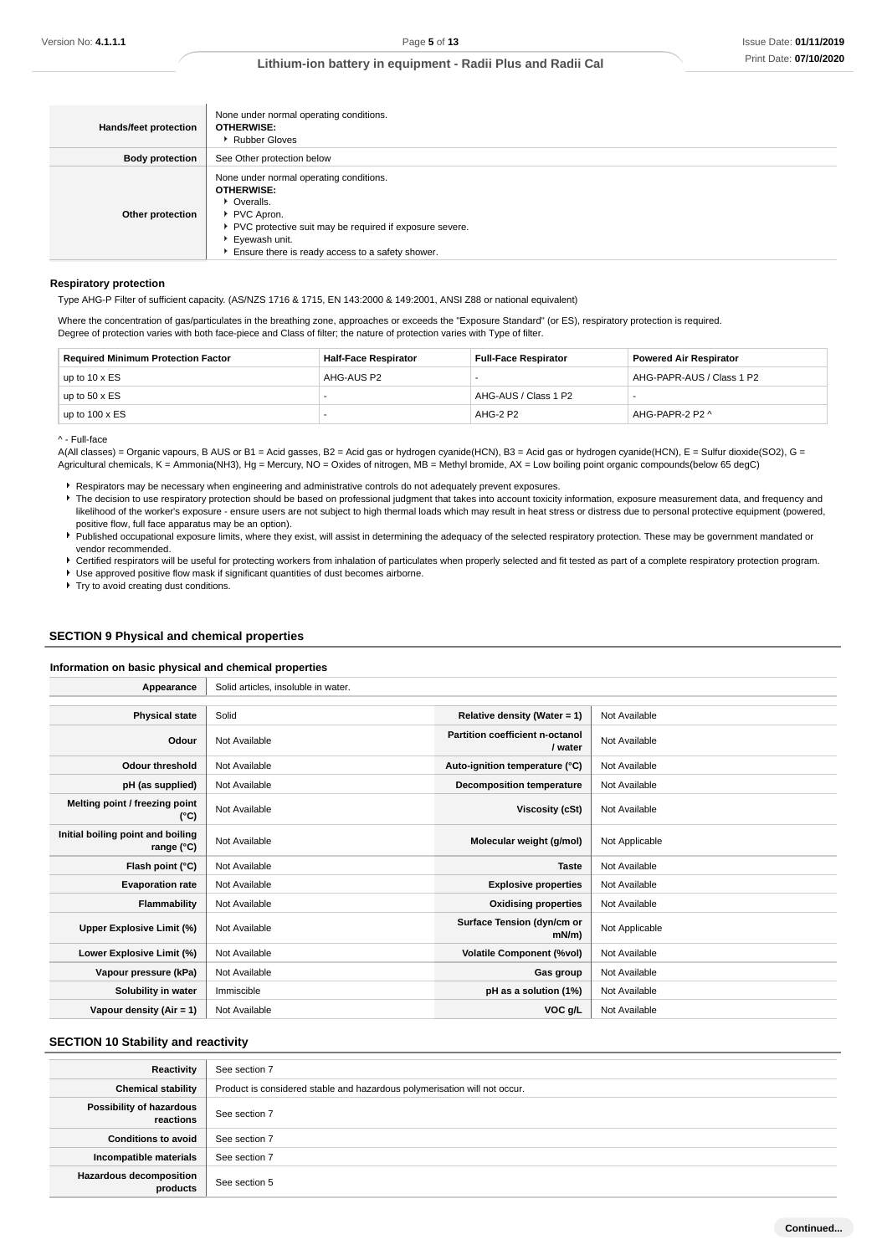| Hands/feet protection  | None under normal operating conditions.<br><b>OTHERWISE:</b><br>▶ Rubber Gloves                                                                                                                                             |
|------------------------|-----------------------------------------------------------------------------------------------------------------------------------------------------------------------------------------------------------------------------|
| <b>Body protection</b> | See Other protection below                                                                                                                                                                                                  |
| Other protection       | None under normal operating conditions.<br><b>OTHERWISE:</b><br>• Overalls.<br>PVC Apron.<br>▶ PVC protective suit may be required if exposure severe.<br>Eyewash unit.<br>Ensure there is ready access to a safety shower. |

### **Respiratory protection**

Type AHG-P Filter of sufficient capacity. (AS/NZS 1716 & 1715, EN 143:2000 & 149:2001, ANSI Z88 or national equivalent)

Where the concentration of gas/particulates in the breathing zone, approaches or exceeds the "Exposure Standard" (or ES), respiratory protection is required. Degree of protection varies with both face-piece and Class of filter; the nature of protection varies with Type of filter.

| <b>Required Minimum Protection Factor</b> | <b>Half-Face Respirator</b> | <b>Full-Face Respirator</b> | <b>Powered Air Respirator</b> |
|-------------------------------------------|-----------------------------|-----------------------------|-------------------------------|
| up to $10 \times ES$                      | AHG-AUS P2                  |                             | AHG-PAPR-AUS / Class 1 P2     |
| up to $50 \times ES$                      |                             | AHG-AUS / Class 1 P2        |                               |
| up to $100 \times ES$                     |                             | AHG-2 P2                    | AHG-PAPR-2 P2 ^               |

^ - Full-face

A(All classes) = Organic vapours, B AUS or B1 = Acid gasses, B2 = Acid gas or hydrogen cyanide(HCN), B3 = Acid gas or hydrogen cyanide(HCN), E = Sulfur dioxide(SO2), G = Agricultural chemicals, K = Ammonia(NH3), Hg = Mercury, NO = Oxides of nitrogen, MB = Methyl bromide, AX = Low boiling point organic compounds(below 65 degC)

Respirators may be necessary when engineering and administrative controls do not adequately prevent exposures.

The decision to use respiratory protection should be based on professional judgment that takes into account toxicity information, exposure measurement data, and frequency and likelihood of the worker's exposure - ensure users are not subject to high thermal loads which may result in heat stress or distress due to personal protective equipment (powered, positive flow, full face apparatus may be an option).

Published occupational exposure limits, where they exist, will assist in determining the adequacy of the selected respiratory protection. These may be government mandated or vendor recommended.

Certified respirators will be useful for protecting workers from inhalation of particulates when properly selected and fit tested as part of a complete respiratory protection program. Use approved positive flow mask if significant quantities of dust becomes airborne.

**F** Try to avoid creating dust conditions.

### **SECTION 9 Physical and chemical properties**

### **Information on basic physical and chemical properties**

| Appearance                                      | Solid articles, insoluble in water. |                                            |                |
|-------------------------------------------------|-------------------------------------|--------------------------------------------|----------------|
|                                                 |                                     |                                            |                |
| <b>Physical state</b>                           | Solid                               | Relative density (Water = $1$ )            | Not Available  |
| Odour                                           | Not Available                       | Partition coefficient n-octanol<br>/ water | Not Available  |
| <b>Odour threshold</b>                          | Not Available                       | Auto-ignition temperature (°C)             | Not Available  |
| pH (as supplied)                                | Not Available                       | <b>Decomposition temperature</b>           | Not Available  |
| Melting point / freezing point<br>(°C)          | Not Available                       | <b>Viscosity (cSt)</b>                     | Not Available  |
| Initial boiling point and boiling<br>range (°C) | Not Available                       | Molecular weight (g/mol)                   | Not Applicable |
| Flash point (°C)                                | Not Available                       | <b>Taste</b>                               | Not Available  |
| <b>Evaporation rate</b>                         | Not Available                       | <b>Explosive properties</b>                | Not Available  |
| Flammability                                    | Not Available                       | <b>Oxidising properties</b>                | Not Available  |
| Upper Explosive Limit (%)                       | Not Available                       | Surface Tension (dyn/cm or<br>$mN/m$ )     | Not Applicable |
| Lower Explosive Limit (%)                       | Not Available                       | <b>Volatile Component (%vol)</b>           | Not Available  |
| Vapour pressure (kPa)                           | Not Available                       | Gas group                                  | Not Available  |
| Solubility in water                             | Immiscible                          | pH as a solution (1%)                      | Not Available  |
| Vapour density (Air = 1)                        | Not Available                       | VOC g/L                                    | Not Available  |

### **SECTION 10 Stability and reactivity**

| Reactivity                            | See section 7                                                             |
|---------------------------------------|---------------------------------------------------------------------------|
| <b>Chemical stability</b>             | Product is considered stable and hazardous polymerisation will not occur. |
| Possibility of hazardous<br>reactions | See section 7                                                             |
| <b>Conditions to avoid</b>            | See section 7                                                             |
| Incompatible materials                | See section 7                                                             |
| Hazardous decomposition<br>products   | See section 5                                                             |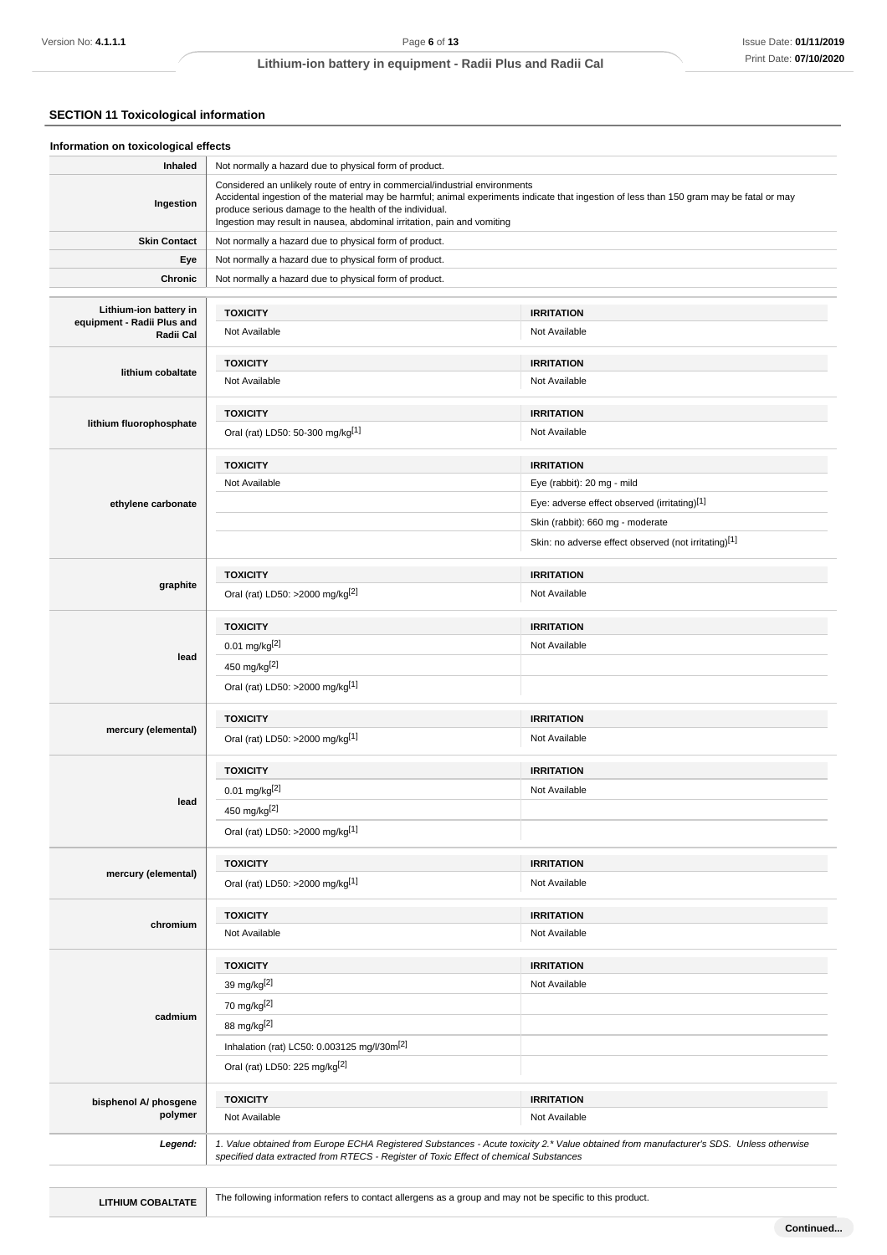# **SECTION 11 Toxicological information**

| Inhaled                                 | Not normally a hazard due to physical form of product.                                                                                                                                                            |                                                                                                                                           |
|-----------------------------------------|-------------------------------------------------------------------------------------------------------------------------------------------------------------------------------------------------------------------|-------------------------------------------------------------------------------------------------------------------------------------------|
| Ingestion                               | Considered an unlikely route of entry in commercial/industrial environments<br>produce serious damage to the health of the individual.<br>Ingestion may result in nausea, abdominal irritation, pain and vomiting | Accidental ingestion of the material may be harmful; animal experiments indicate that ingestion of less than 150 gram may be fatal or may |
| <b>Skin Contact</b>                     | Not normally a hazard due to physical form of product.                                                                                                                                                            |                                                                                                                                           |
| Eye                                     | Not normally a hazard due to physical form of product.                                                                                                                                                            |                                                                                                                                           |
| Chronic                                 | Not normally a hazard due to physical form of product.                                                                                                                                                            |                                                                                                                                           |
| Lithium-ion battery in                  | <b>TOXICITY</b>                                                                                                                                                                                                   | <b>IRRITATION</b>                                                                                                                         |
| equipment - Radii Plus and<br>Radii Cal | Not Available                                                                                                                                                                                                     | Not Available                                                                                                                             |
|                                         | <b>TOXICITY</b>                                                                                                                                                                                                   | <b>IRRITATION</b>                                                                                                                         |
| lithium cobaltate                       | Not Available                                                                                                                                                                                                     | Not Available                                                                                                                             |
|                                         | <b>TOXICITY</b>                                                                                                                                                                                                   | <b>IRRITATION</b>                                                                                                                         |
| lithium fluorophosphate                 | Oral (rat) LD50: 50-300 mg/kg <sup>[1]</sup>                                                                                                                                                                      | Not Available                                                                                                                             |
|                                         | <b>TOXICITY</b>                                                                                                                                                                                                   | <b>IRRITATION</b>                                                                                                                         |
|                                         | Not Available                                                                                                                                                                                                     | Eye (rabbit): 20 mg - mild                                                                                                                |
| ethylene carbonate                      |                                                                                                                                                                                                                   | Eye: adverse effect observed (irritating)[1]                                                                                              |
|                                         |                                                                                                                                                                                                                   | Skin (rabbit): 660 mg - moderate                                                                                                          |
|                                         |                                                                                                                                                                                                                   | Skin: no adverse effect observed (not irritating)[1]                                                                                      |
|                                         | <b>TOXICITY</b>                                                                                                                                                                                                   | <b>IRRITATION</b>                                                                                                                         |
| graphite                                | Oral (rat) LD50: >2000 mg/kg <sup>[2]</sup>                                                                                                                                                                       | Not Available                                                                                                                             |
|                                         | <b>TOXICITY</b>                                                                                                                                                                                                   | <b>IRRITATION</b>                                                                                                                         |
|                                         | $0.01$ mg/kg $^{[2]}$                                                                                                                                                                                             | Not Available                                                                                                                             |
| lead                                    | 450 mg/kg[2]                                                                                                                                                                                                      |                                                                                                                                           |
|                                         | Oral (rat) LD50: >2000 mg/kg[1]                                                                                                                                                                                   |                                                                                                                                           |
|                                         | <b>TOXICITY</b>                                                                                                                                                                                                   | <b>IRRITATION</b>                                                                                                                         |
| mercury (elemental)                     | Oral (rat) LD50: >2000 mg/kg[1]                                                                                                                                                                                   | Not Available                                                                                                                             |
|                                         | <b>TOXICITY</b>                                                                                                                                                                                                   | <b>IRRITATION</b>                                                                                                                         |
|                                         | $0.01$ mg/kg <sup>[2]</sup>                                                                                                                                                                                       | Not Available                                                                                                                             |
| lead                                    | 450 mg/kg[2]                                                                                                                                                                                                      |                                                                                                                                           |
|                                         | Oral (rat) LD50: >2000 mg/kg[1]                                                                                                                                                                                   |                                                                                                                                           |
|                                         | <b>TOXICITY</b>                                                                                                                                                                                                   | <b>IRRITATION</b>                                                                                                                         |
| mercury (elemental)                     | Oral (rat) LD50: >2000 mg/kg[1]                                                                                                                                                                                   | Not Available                                                                                                                             |
|                                         | <b>TOXICITY</b>                                                                                                                                                                                                   | <b>IRRITATION</b>                                                                                                                         |
| chromium                                | Not Available                                                                                                                                                                                                     | Not Available                                                                                                                             |
|                                         | <b>TOXICITY</b>                                                                                                                                                                                                   | <b>IRRITATION</b>                                                                                                                         |
|                                         | 39 mg/kg[2]                                                                                                                                                                                                       | Not Available                                                                                                                             |
|                                         | 70 mg/kg[2]                                                                                                                                                                                                       |                                                                                                                                           |
| cadmium                                 | 88 mg/kg[2]                                                                                                                                                                                                       |                                                                                                                                           |
|                                         | Inhalation (rat) LC50: 0.003125 mg/l/30m <sup>[2]</sup>                                                                                                                                                           |                                                                                                                                           |
|                                         | Oral (rat) LD50: 225 mg/kg <sup>[2]</sup>                                                                                                                                                                         |                                                                                                                                           |
| bisphenol A/ phosgene                   | <b>TOXICITY</b>                                                                                                                                                                                                   | <b>IRRITATION</b>                                                                                                                         |
| polymer                                 | Not Available                                                                                                                                                                                                     | Not Available                                                                                                                             |
|                                         |                                                                                                                                                                                                                   | 1. Value obtained from Europe ECHA Registered Substances - Acute toxicity 2.* Value obtained from manufacturer's SDS. Unless otherwise    |

LITHIUM COBALTATE **The following information refers to contact allergens as a group and may not be specific to this product.**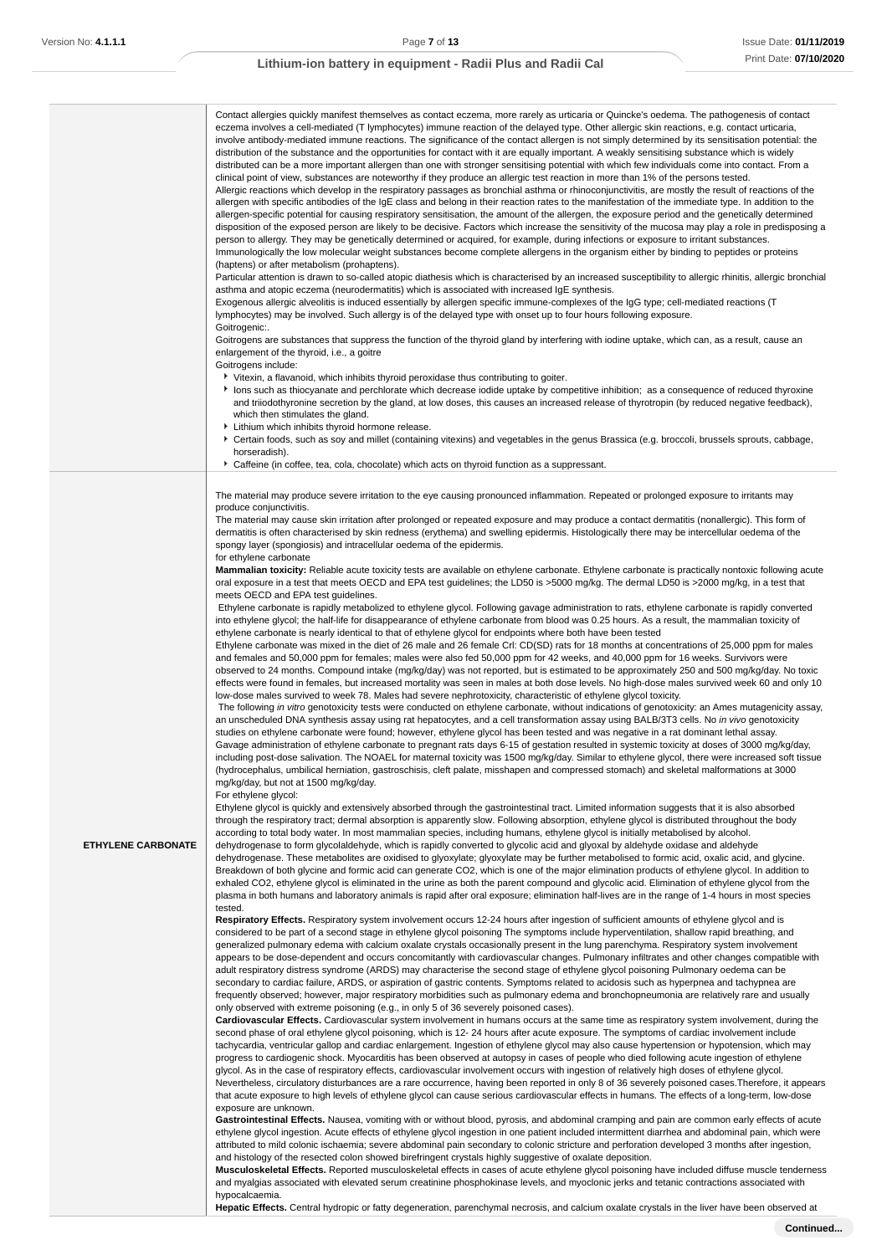|                           | Contact allergies quickly manifest themselves as contact eczema, more rarely as urticaria or Quincke's oedema. The pathogenesis of contact<br>eczema involves a cell-mediated (T lymphocytes) immune reaction of the delayed type. Other allergic skin reactions, e.g. contact urticaria,<br>involve antibody-mediated immune reactions. The significance of the contact allergen is not simply determined by its sensitisation potential: the<br>distribution of the substance and the opportunities for contact with it are equally important. A weakly sensitising substance which is widely<br>distributed can be a more important allergen than one with stronger sensitising potential with which few individuals come into contact. From a<br>clinical point of view, substances are noteworthy if they produce an allergic test reaction in more than 1% of the persons tested.<br>Allergic reactions which develop in the respiratory passages as bronchial asthma or rhinoconjunctivitis, are mostly the result of reactions of the<br>allergen with specific antibodies of the IgE class and belong in their reaction rates to the manifestation of the immediate type. In addition to the<br>allergen-specific potential for causing respiratory sensitisation, the amount of the allergen, the exposure period and the genetically determined<br>disposition of the exposed person are likely to be decisive. Factors which increase the sensitivity of the mucosa may play a role in predisposing a<br>person to allergy. They may be genetically determined or acquired, for example, during infections or exposure to irritant substances.<br>Immunologically the low molecular weight substances become complete allergens in the organism either by binding to peptides or proteins<br>(haptens) or after metabolism (prohaptens).<br>Particular attention is drawn to so-called atopic diathesis which is characterised by an increased susceptibility to allergic rhinitis, allergic bronchial<br>asthma and atopic eczema (neurodermatitis) which is associated with increased IgE synthesis.<br>Exogenous allergic alveolitis is induced essentially by allergen specific immune-complexes of the IgG type; cell-mediated reactions (T<br>lymphocytes) may be involved. Such allergy is of the delayed type with onset up to four hours following exposure.<br>Goitrogenic:.<br>Goitrogens are substances that suppress the function of the thyroid gland by interfering with iodine uptake, which can, as a result, cause an<br>enlargement of the thyroid, i.e., a goitre<br>Goitrogens include:<br>▶ Vitexin, a flavanoid, which inhibits thyroid peroxidase thus contributing to goiter.<br>Ins such as thiocyanate and perchlorate which decrease iodide uptake by competitive inhibition; as a consequence of reduced thyroxine<br>and triiodothyronine secretion by the gland, at low doses, this causes an increased release of thyrotropin (by reduced negative feedback),<br>which then stimulates the gland.<br>Lithium which inhibits thyroid hormone release.<br>▶ Certain foods, such as soy and millet (containing vitexins) and vegetables in the genus Brassica (e.g. broccoli, brussels sprouts, cabbage,<br>horseradish). |
|---------------------------|--------------------------------------------------------------------------------------------------------------------------------------------------------------------------------------------------------------------------------------------------------------------------------------------------------------------------------------------------------------------------------------------------------------------------------------------------------------------------------------------------------------------------------------------------------------------------------------------------------------------------------------------------------------------------------------------------------------------------------------------------------------------------------------------------------------------------------------------------------------------------------------------------------------------------------------------------------------------------------------------------------------------------------------------------------------------------------------------------------------------------------------------------------------------------------------------------------------------------------------------------------------------------------------------------------------------------------------------------------------------------------------------------------------------------------------------------------------------------------------------------------------------------------------------------------------------------------------------------------------------------------------------------------------------------------------------------------------------------------------------------------------------------------------------------------------------------------------------------------------------------------------------------------------------------------------------------------------------------------------------------------------------------------------------------------------------------------------------------------------------------------------------------------------------------------------------------------------------------------------------------------------------------------------------------------------------------------------------------------------------------------------------------------------------------------------------------------------------------------------------------------------------------------------------------------------------------------------------------------------------------------------------------------------------------------------------------------------------------------------------------------------------------------------------------------------------------------------------------------------------------------------------------------------------------------------------------------------------------------------------------------------------------------------------------------------------------------------------------------------------------------------------------------------------------------------------------------------------------------------------------------------------|
|                           | ▶ Caffeine (in coffee, tea, cola, chocolate) which acts on thyroid function as a suppressant.                                                                                                                                                                                                                                                                                                                                                                                                                                                                                                                                                                                                                                                                                                                                                                                                                                                                                                                                                                                                                                                                                                                                                                                                                                                                                                                                                                                                                                                                                                                                                                                                                                                                                                                                                                                                                                                                                                                                                                                                                                                                                                                                                                                                                                                                                                                                                                                                                                                                                                                                                                                                                                                                                                                                                                                                                                                                                                                                                                                                                                                                                                                                                                      |
|                           | The material may produce severe irritation to the eye causing pronounced inflammation. Repeated or prolonged exposure to irritants may<br>produce conjunctivitis.<br>The material may cause skin irritation after prolonged or repeated exposure and may produce a contact dermatitis (nonallergic). This form of<br>dermatitis is often characterised by skin redness (erythema) and swelling epidermis. Histologically there may be intercellular oedema of the<br>spongy layer (spongiosis) and intracellular oedema of the epidermis.<br>for ethylene carbonate                                                                                                                                                                                                                                                                                                                                                                                                                                                                                                                                                                                                                                                                                                                                                                                                                                                                                                                                                                                                                                                                                                                                                                                                                                                                                                                                                                                                                                                                                                                                                                                                                                                                                                                                                                                                                                                                                                                                                                                                                                                                                                                                                                                                                                                                                                                                                                                                                                                                                                                                                                                                                                                                                                |
|                           | Mammalian toxicity: Reliable acute toxicity tests are available on ethylene carbonate. Ethylene carbonate is practically nontoxic following acute<br>oral exposure in a test that meets OECD and EPA test guidelines; the LD50 is >5000 mg/kg. The dermal LD50 is >2000 mg/kg, in a test that<br>meets OECD and EPA test guidelines.<br>Ethylene carbonate is rapidly metabolized to ethylene glycol. Following gavage administration to rats, ethylene carbonate is rapidly converted<br>into ethylene glycol; the half-life for disappearance of ethylene carbonate from blood was 0.25 hours. As a result, the mammalian toxicity of<br>ethylene carbonate is nearly identical to that of ethylene glycol for endpoints where both have been tested<br>Ethylene carbonate was mixed in the diet of 26 male and 26 female Crl: CD(SD) rats for 18 months at concentrations of 25,000 ppm for males<br>and females and 50,000 ppm for females; males were also fed 50,000 ppm for 42 weeks, and 40,000 ppm for 16 weeks. Survivors were                                                                                                                                                                                                                                                                                                                                                                                                                                                                                                                                                                                                                                                                                                                                                                                                                                                                                                                                                                                                                                                                                                                                                                                                                                                                                                                                                                                                                                                                                                                                                                                                                                                                                                                                                                                                                                                                                                                                                                                                                                                                                                                                                                                                                           |
|                           | observed to 24 months. Compound intake (mg/kg/day) was not reported, but is estimated to be approximately 250 and 500 mg/kg/day. No toxic<br>effects were found in females, but increased mortality was seen in males at both dose levels. No high-dose males survived week 60 and only 10<br>low-dose males survived to week 78. Males had severe nephrotoxicity, characteristic of ethylene glycol toxicity.<br>The following in vitro genotoxicity tests were conducted on ethylene carbonate, without indications of genotoxicity: an Ames mutagenicity assay,<br>an unscheduled DNA synthesis assay using rat hepatocytes, and a cell transformation assay using BALB/3T3 cells. No in vivo genotoxicity<br>studies on ethylene carbonate were found; however, ethylene glycol has been tested and was negative in a rat dominant lethal assay.<br>Gavage administration of ethylene carbonate to pregnant rats days 6-15 of gestation resulted in systemic toxicity at doses of 3000 mg/kg/day,<br>including post-dose salivation. The NOAEL for maternal toxicity was 1500 mg/kg/day. Similar to ethylene glycol, there were increased soft tissue<br>(hydrocephalus, umbilical herniation, gastroschisis, cleft palate, misshapen and compressed stomach) and skeletal malformations at 3000<br>mg/kg/day, but not at 1500 mg/kg/day.<br>For ethylene glycol:                                                                                                                                                                                                                                                                                                                                                                                                                                                                                                                                                                                                                                                                                                                                                                                                                                                                                                                                                                                                                                                                                                                                                                                                                                                                                                                                                                                                                                                                                                                                                                                                                                                                                                                                                                                                                                                                                              |
| <b>ETHYLENE CARBONATE</b> | Ethylene glycol is quickly and extensively absorbed through the gastrointestinal tract. Limited information suggests that it is also absorbed<br>through the respiratory tract; dermal absorption is apparently slow. Following absorption, ethylene glycol is distributed throughout the body<br>according to total body water. In most mammalian species, including humans, ethylene glycol is initially metabolised by alcohol.<br>dehydrogenase to form glycolaldehyde, which is rapidly converted to glycolic acid and glyoxal by aldehyde oxidase and aldehyde<br>dehydrogenase. These metabolites are oxidised to glyoxylate; glyoxylate may be further metabolised to formic acid, oxalic acid, and glycine.<br>Breakdown of both glycine and formic acid can generate CO2, which is one of the major elimination products of ethylene glycol. In addition to<br>exhaled CO2, ethylene glycol is eliminated in the urine as both the parent compound and glycolic acid. Elimination of ethylene glycol from the<br>plasma in both humans and laboratory animals is rapid after oral exposure; elimination half-lives are in the range of 1-4 hours in most species                                                                                                                                                                                                                                                                                                                                                                                                                                                                                                                                                                                                                                                                                                                                                                                                                                                                                                                                                                                                                                                                                                                                                                                                                                                                                                                                                                                                                                                                                                                                                                                                                                                                                                                                                                                                                                                                                                                                                                                                                                                                                         |
|                           | tested.<br>Respiratory Effects. Respiratory system involvement occurs 12-24 hours after ingestion of sufficient amounts of ethylene glycol and is<br>considered to be part of a second stage in ethylene glycol poisoning The symptoms include hyperventilation, shallow rapid breathing, and<br>generalized pulmonary edema with calcium oxalate crystals occasionally present in the lung parenchyma. Respiratory system involvement<br>appears to be dose-dependent and occurs concomitantly with cardiovascular changes. Pulmonary infiltrates and other changes compatible with<br>adult respiratory distress syndrome (ARDS) may characterise the second stage of ethylene glycol poisoning Pulmonary oedema can be<br>secondary to cardiac failure, ARDS, or aspiration of gastric contents. Symptoms related to acidosis such as hyperpnea and tachypnea are<br>frequently observed; however, major respiratory morbidities such as pulmonary edema and bronchopneumonia are relatively rare and usually                                                                                                                                                                                                                                                                                                                                                                                                                                                                                                                                                                                                                                                                                                                                                                                                                                                                                                                                                                                                                                                                                                                                                                                                                                                                                                                                                                                                                                                                                                                                                                                                                                                                                                                                                                                                                                                                                                                                                                                                                                                                                                                                                                                                                                                   |
|                           | only observed with extreme poisoning (e.g., in only 5 of 36 severely poisoned cases).<br>Cardiovascular Effects. Cardiovascular system involvement in humans occurs at the same time as respiratory system involvement, during the<br>second phase of oral ethylene glycol poisoning, which is 12-24 hours after acute exposure. The symptoms of cardiac involvement include<br>tachycardia, ventricular gallop and cardiac enlargement. Ingestion of ethylene glycol may also cause hypertension or hypotension, which may<br>progress to cardiogenic shock. Myocarditis has been observed at autopsy in cases of people who died following acute ingestion of ethylene<br>glycol. As in the case of respiratory effects, cardiovascular involvement occurs with ingestion of relatively high doses of ethylene glycol.<br>Nevertheless, circulatory disturbances are a rare occurrence, having been reported in only 8 of 36 severely poisoned cases. Therefore, it appears<br>that acute exposure to high levels of ethylene glycol can cause serious cardiovascular effects in humans. The effects of a long-term, low-dose                                                                                                                                                                                                                                                                                                                                                                                                                                                                                                                                                                                                                                                                                                                                                                                                                                                                                                                                                                                                                                                                                                                                                                                                                                                                                                                                                                                                                                                                                                                                                                                                                                                                                                                                                                                                                                                                                                                                                                                                                                                                                                                                    |
|                           | exposure are unknown.<br>Gastrointestinal Effects. Nausea, vomiting with or without blood, pyrosis, and abdominal cramping and pain are common early effects of acute<br>ethylene glycol ingestion. Acute effects of ethylene glycol ingestion in one patient included intermittent diarrhea and abdominal pain, which were<br>attributed to mild colonic ischaemia; severe abdominal pain secondary to colonic stricture and perforation developed 3 months after ingestion,<br>and histology of the resected colon showed birefringent crystals highly suggestive of oxalate deposition.<br><b>Musculoskeletal Effects.</b> Reported musculoskeletal effects in cases of acute ethylene glycol poisoning have included diffuse muscle tenderness<br>and myalgias associated with elevated serum creatinine phosphokinase levels, and myoclonic jerks and tetanic contractions associated with<br>hypocalcaemia.                                                                                                                                                                                                                                                                                                                                                                                                                                                                                                                                                                                                                                                                                                                                                                                                                                                                                                                                                                                                                                                                                                                                                                                                                                                                                                                                                                                                                                                                                                                                                                                                                                                                                                                                                                                                                                                                                                                                                                                                                                                                                                                                                                                                                                                                                                                                                  |
|                           | Hepatic Effects. Central hydropic or fatty degeneration, parenchymal necrosis, and calcium oxalate crystals in the liver have been observed at                                                                                                                                                                                                                                                                                                                                                                                                                                                                                                                                                                                                                                                                                                                                                                                                                                                                                                                                                                                                                                                                                                                                                                                                                                                                                                                                                                                                                                                                                                                                                                                                                                                                                                                                                                                                                                                                                                                                                                                                                                                                                                                                                                                                                                                                                                                                                                                                                                                                                                                                                                                                                                                                                                                                                                                                                                                                                                                                                                                                                                                                                                                     |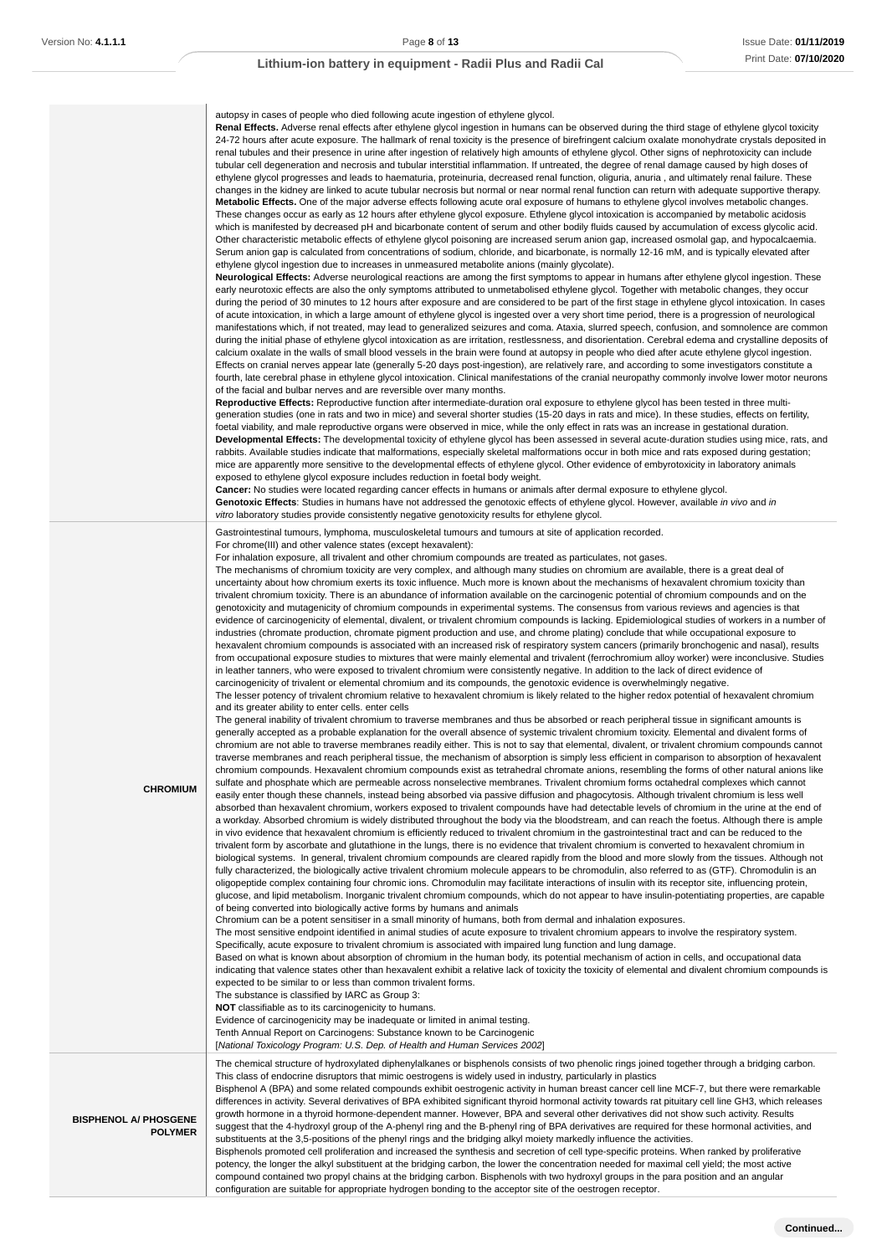### autopsy in cases of people who died following acute ingestion of ethylene glycol.

**Renal Effects.** Adverse renal effects after ethylene glycol ingestion in humans can be observed during the third stage of ethylene glycol toxicity 24-72 hours after acute exposure. The hallmark of renal toxicity is the presence of birefringent calcium oxalate monohydrate crystals deposited in renal tubules and their presence in urine after ingestion of relatively high amounts of ethylene glycol. Other signs of nephrotoxicity can include tubular cell degeneration and necrosis and tubular interstitial inflammation. If untreated, the degree of renal damage caused by high doses of ethylene glycol progresses and leads to haematuria, proteinuria, decreased renal function, oliguria, anuria , and ultimately renal failure. These changes in the kidney are linked to acute tubular necrosis but normal or near normal renal function can return with adequate supportive therapy. **Metabolic Effects.** One of the major adverse effects following acute oral exposure of humans to ethylene glycol involves metabolic changes. These changes occur as early as 12 hours after ethylene glycol exposure. Ethylene glycol intoxication is accompanied by metabolic acidosis which is manifested by decreased pH and bicarbonate content of serum and other bodily fluids caused by accumulation of excess glycolic acid. Other characteristic metabolic effects of ethylene glycol poisoning are increased serum anion gap, increased osmolal gap, and hypocalcaemia. Serum anion gap is calculated from concentrations of sodium, chloride, and bicarbonate, is normally 12-16 mM, and is typically elevated after ethylene glycol ingestion due to increases in unmeasured metabolite anions (mainly glycolate).

**Neurological Effects:** Adverse neurological reactions are among the first symptoms to appear in humans after ethylene glycol ingestion. These early neurotoxic effects are also the only symptoms attributed to unmetabolised ethylene glycol. Together with metabolic changes, they occur during the period of 30 minutes to 12 hours after exposure and are considered to be part of the first stage in ethylene glycol intoxication. In cases of acute intoxication, in which a large amount of ethylene glycol is ingested over a very short time period, there is a progression of neurological manifestations which, if not treated, may lead to generalized seizures and coma. Ataxia, slurred speech, confusion, and somnolence are common during the initial phase of ethylene glycol intoxication as are irritation, restlessness, and disorientation. Cerebral edema and crystalline deposits of calcium oxalate in the walls of small blood vessels in the brain were found at autopsy in people who died after acute ethylene glycol ingestion. Effects on cranial nerves appear late (generally 5-20 days post-ingestion), are relatively rare, and according to some investigators constitute a fourth, late cerebral phase in ethylene glycol intoxication. Clinical manifestations of the cranial neuropathy commonly involve lower motor neurons of the facial and bulbar nerves and are reversible over many months.

**Reproductive Effects:** Reproductive function after intermediate-duration oral exposure to ethylene glycol has been tested in three multigeneration studies (one in rats and two in mice) and several shorter studies (15-20 days in rats and mice). In these studies, effects on fertility, foetal viability, and male reproductive organs were observed in mice, while the only effect in rats was an increase in gestational duration. **Developmental Effects:** The developmental toxicity of ethylene glycol has been assessed in several acute-duration studies using mice, rats, and rabbits. Available studies indicate that malformations, especially skeletal malformations occur in both mice and rats exposed during gestation; mice are apparently more sensitive to the developmental effects of ethylene glycol. Other evidence of embyrotoxicity in laboratory animals exposed to ethylene glycol exposure includes reduction in foetal body weight.

**Cancer:** No studies were located regarding cancer effects in humans or animals after dermal exposure to ethylene glycol.

Genotoxic Effects: Studies in humans have not addressed the genotoxic effects of ethylene glycol. However, available in vivo and in vitro laboratory studies provide consistently negative genotoxicity results for ethylene glycol.

Gastrointestinal tumours, lymphoma, musculoskeletal tumours and tumours at site of application recorded.

For chrome(III) and other valence states (except hexavalent):

For inhalation exposure, all trivalent and other chromium compounds are treated as particulates, not gases.

The mechanisms of chromium toxicity are very complex, and although many studies on chromium are available, there is a great deal of uncertainty about how chromium exerts its toxic influence. Much more is known about the mechanisms of hexavalent chromium toxicity than trivalent chromium toxicity. There is an abundance of information available on the carcinogenic potential of chromium compounds and on the genotoxicity and mutagenicity of chromium compounds in experimental systems. The consensus from various reviews and agencies is that evidence of carcinogenicity of elemental, divalent, or trivalent chromium compounds is lacking. Epidemiological studies of workers in a number of industries (chromate production, chromate pigment production and use, and chrome plating) conclude that while occupational exposure to hexavalent chromium compounds is associated with an increased risk of respiratory system cancers (primarily bronchogenic and nasal), results from occupational exposure studies to mixtures that were mainly elemental and trivalent (ferrochromium alloy worker) were inconclusive. Studies in leather tanners, who were exposed to trivalent chromium were consistently negative. In addition to the lack of direct evidence of carcinogenicity of trivalent or elemental chromium and its compounds, the genotoxic evidence is overwhelmingly negative.

The lesser potency of trivalent chromium relative to hexavalent chromium is likely related to the higher redox potential of hexavalent chromium and its greater ability to enter cells. enter cells

The general inability of trivalent chromium to traverse membranes and thus be absorbed or reach peripheral tissue in significant amounts is generally accepted as a probable explanation for the overall absence of systemic trivalent chromium toxicity. Elemental and divalent forms of chromium are not able to traverse membranes readily either. This is not to say that elemental, divalent, or trivalent chromium compounds cannot traverse membranes and reach peripheral tissue, the mechanism of absorption is simply less efficient in comparison to absorption of hexavalent chromium compounds. Hexavalent chromium compounds exist as tetrahedral chromate anions, resembling the forms of other natural anions like sulfate and phosphate which are permeable across nonselective membranes. Trivalent chromium forms octahedral complexes which cannot

**CHROMIUM**

easily enter though these channels, instead being absorbed via passive diffusion and phagocytosis. Although trivalent chromium is less well absorbed than hexavalent chromium, workers exposed to trivalent compounds have had detectable levels of chromium in the urine at the end of a workday. Absorbed chromium is widely distributed throughout the body via the bloodstream, and can reach the foetus. Although there is ample in vivo evidence that hexavalent chromium is efficiently reduced to trivalent chromium in the gastrointestinal tract and can be reduced to the trivalent form by ascorbate and glutathione in the lungs, there is no evidence that trivalent chromium is converted to hexavalent chromium in biological systems. In general, trivalent chromium compounds are cleared rapidly from the blood and more slowly from the tissues. Although not fully characterized, the biologically active trivalent chromium molecule appears to be chromodulin, also referred to as (GTF). Chromodulin is an oligopeptide complex containing four chromic ions. Chromodulin may facilitate interactions of insulin with its receptor site, influencing protein, glucose, and lipid metabolism. Inorganic trivalent chromium compounds, which do not appear to have insulin-potentiating properties, are capable of being converted into biologically active forms by humans and animals

Chromium can be a potent sensitiser in a small minority of humans, both from dermal and inhalation exposures.

This class of endocrine disruptors that mimic oestrogens is widely used in industry, particularly in plastics

The most sensitive endpoint identified in animal studies of acute exposure to trivalent chromium appears to involve the respiratory system. Specifically, acute exposure to trivalent chromium is associated with impaired lung function and lung damage.

Based on what is known about absorption of chromium in the human body, its potential mechanism of action in cells, and occupational data indicating that valence states other than hexavalent exhibit a relative lack of toxicity the toxicity of elemental and divalent chromium compounds is expected to be similar to or less than common trivalent forms.

The substance is classified by IARC as Group 3:

**NOT** classifiable as to its carcinogenicity to humans.

Evidence of carcinogenicity may be inadequate or limited in animal testing.

Tenth Annual Report on Carcinogens: Substance known to be Carcinogenic

[National Toxicology Program: U.S. Dep. of Health and Human Services 2002]

**BISPHENOL A/ PHOSGENE POLYMER**

differences in activity. Several derivatives of BPA exhibited significant thyroid hormonal activity towards rat pituitary cell line GH3, which releases growth hormone in a thyroid hormone-dependent manner. However, BPA and several other derivatives did not show such activity. Results suggest that the 4-hydroxyl group of the A-phenyl ring and the B-phenyl ring of BPA derivatives are required for these hormonal activities, and substituents at the 3.5-positions of the phenyl rings and the bridging alkyl moiety markedly influence the activities.

The chemical structure of hydroxylated diphenylalkanes or bisphenols consists of two phenolic rings joined together through a bridging carbon.

Bisphenol A (BPA) and some related compounds exhibit oestrogenic activity in human breast cancer cell line MCF-7, but there were remarkable

Bisphenols promoted cell proliferation and increased the synthesis and secretion of cell type-specific proteins. When ranked by proliferative potency, the longer the alkyl substituent at the bridging carbon, the lower the concentration needed for maximal cell yield; the most active compound contained two propyl chains at the bridging carbon. Bisphenols with two hydroxyl groups in the para position and an angular configuration are suitable for appropriate hydrogen bonding to the acceptor site of the oestrogen receptor.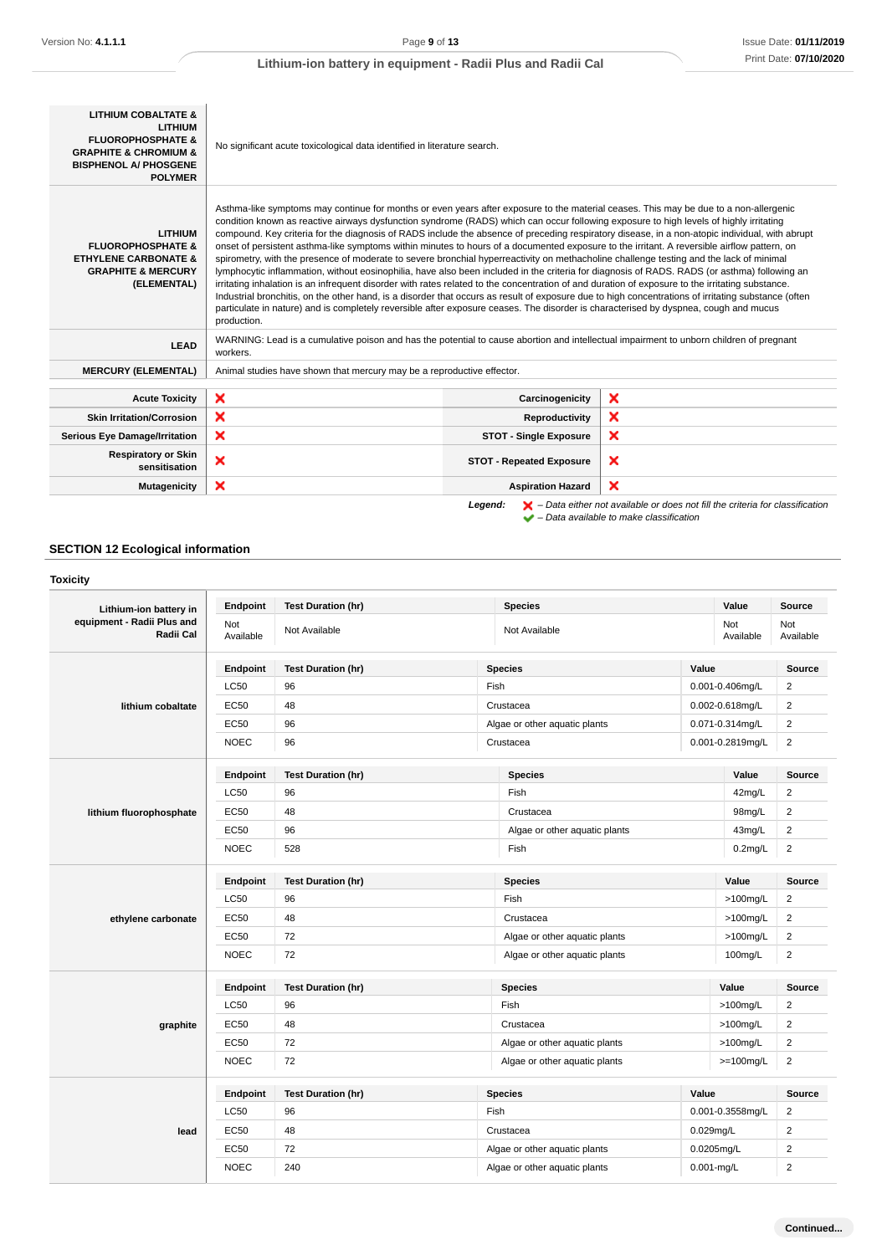| <b>LITHIUM COBALTATE &amp;</b><br><b>LITHIUM</b><br><b>FLUOROPHOSPHATE &amp;</b><br><b>GRAPHITE &amp; CHROMIUM &amp;</b><br><b>BISPHENOL A/ PHOSGENE</b><br><b>POLYMER</b> | No significant acute toxicological data identified in literature search.                                                                                                                                                                                                                                                                                                                                                                                                                                                                                                                                                                                                                                                                                                                                                                                                                                                                                                                                                                                                                                                                                                                                                                                                                                                                      |                                 |                                                                                                                                                                     |
|----------------------------------------------------------------------------------------------------------------------------------------------------------------------------|-----------------------------------------------------------------------------------------------------------------------------------------------------------------------------------------------------------------------------------------------------------------------------------------------------------------------------------------------------------------------------------------------------------------------------------------------------------------------------------------------------------------------------------------------------------------------------------------------------------------------------------------------------------------------------------------------------------------------------------------------------------------------------------------------------------------------------------------------------------------------------------------------------------------------------------------------------------------------------------------------------------------------------------------------------------------------------------------------------------------------------------------------------------------------------------------------------------------------------------------------------------------------------------------------------------------------------------------------|---------------------------------|---------------------------------------------------------------------------------------------------------------------------------------------------------------------|
| <b>LITHIUM</b><br><b>FLUOROPHOSPHATE &amp;</b><br><b>ETHYLENE CARBONATE &amp;</b><br><b>GRAPHITE &amp; MERCURY</b><br>(ELEMENTAL)                                          | Asthma-like symptoms may continue for months or even years after exposure to the material ceases. This may be due to a non-allergenic<br>condition known as reactive airways dysfunction syndrome (RADS) which can occur following exposure to high levels of highly irritating<br>compound. Key criteria for the diagnosis of RADS include the absence of preceding respiratory disease, in a non-atopic individual, with abrupt<br>onset of persistent asthma-like symptoms within minutes to hours of a documented exposure to the irritant. A reversible airflow pattern, on<br>spirometry, with the presence of moderate to severe bronchial hyperreactivity on methacholine challenge testing and the lack of minimal<br>lymphocytic inflammation, without eosinophilia, have also been included in the criteria for diagnosis of RADS. RADS (or asthma) following an<br>irritating inhalation is an infrequent disorder with rates related to the concentration of and duration of exposure to the irritating substance.<br>Industrial bronchitis, on the other hand, is a disorder that occurs as result of exposure due to high concentrations of irritating substance (often<br>particulate in nature) and is completely reversible after exposure ceases. The disorder is characterised by dyspnea, cough and mucus<br>production. |                                 |                                                                                                                                                                     |
| <b>LEAD</b>                                                                                                                                                                | WARNING: Lead is a cumulative poison and has the potential to cause abortion and intellectual impairment to unborn children of pregnant<br>workers.                                                                                                                                                                                                                                                                                                                                                                                                                                                                                                                                                                                                                                                                                                                                                                                                                                                                                                                                                                                                                                                                                                                                                                                           |                                 |                                                                                                                                                                     |
| <b>MERCURY (ELEMENTAL)</b>                                                                                                                                                 | Animal studies have shown that mercury may be a reproductive effector.                                                                                                                                                                                                                                                                                                                                                                                                                                                                                                                                                                                                                                                                                                                                                                                                                                                                                                                                                                                                                                                                                                                                                                                                                                                                        |                                 |                                                                                                                                                                     |
| <b>Acute Toxicity</b>                                                                                                                                                      | ×                                                                                                                                                                                                                                                                                                                                                                                                                                                                                                                                                                                                                                                                                                                                                                                                                                                                                                                                                                                                                                                                                                                                                                                                                                                                                                                                             | Carcinogenicity                 | ×                                                                                                                                                                   |
| <b>Skin Irritation/Corrosion</b>                                                                                                                                           | ×                                                                                                                                                                                                                                                                                                                                                                                                                                                                                                                                                                                                                                                                                                                                                                                                                                                                                                                                                                                                                                                                                                                                                                                                                                                                                                                                             | Reproductivity                  | ×                                                                                                                                                                   |
| <b>Serious Eye Damage/Irritation</b>                                                                                                                                       | ×                                                                                                                                                                                                                                                                                                                                                                                                                                                                                                                                                                                                                                                                                                                                                                                                                                                                                                                                                                                                                                                                                                                                                                                                                                                                                                                                             | <b>STOT - Single Exposure</b>   | ×                                                                                                                                                                   |
| <b>Respiratory or Skin</b><br>sensitisation                                                                                                                                | ×                                                                                                                                                                                                                                                                                                                                                                                                                                                                                                                                                                                                                                                                                                                                                                                                                                                                                                                                                                                                                                                                                                                                                                                                                                                                                                                                             | <b>STOT - Repeated Exposure</b> | ×                                                                                                                                                                   |
| <b>Mutagenicity</b>                                                                                                                                                        | $\boldsymbol{\mathsf{x}}$                                                                                                                                                                                                                                                                                                                                                                                                                                                                                                                                                                                                                                                                                                                                                                                                                                                                                                                                                                                                                                                                                                                                                                                                                                                                                                                     | <b>Aspiration Hazard</b>        | ×                                                                                                                                                                   |
|                                                                                                                                                                            |                                                                                                                                                                                                                                                                                                                                                                                                                                                                                                                                                                                                                                                                                                                                                                                                                                                                                                                                                                                                                                                                                                                                                                                                                                                                                                                                               | Legend:                         | $\blacktriangleright$ – Data either not available or does not fill the criteria for classification<br>$\blacktriangleright$ - Data available to make classification |

# **SECTION 12 Ecological information**

# **Toxicity**

| .                                       |                  |                           |                               |                  |                              |
|-----------------------------------------|------------------|---------------------------|-------------------------------|------------------|------------------------------|
| Lithium-ion battery in                  | Endpoint         | <b>Test Duration (hr)</b> | <b>Species</b>                | Value            | <b>Source</b>                |
| equipment - Radii Plus and<br>Radii Cal | Not<br>Available | Not Available             | Not Available                 | Not<br>Available | Not<br>Available             |
|                                         | <b>Endpoint</b>  | <b>Test Duration (hr)</b> | <b>Species</b>                | Value            | Source                       |
|                                         | <b>LC50</b>      | 96                        | Fish                          | 0.001-0.406mg/L  | $\overline{2}$               |
| lithium cobaltate                       | <b>EC50</b>      | 48                        | Crustacea                     | 0.002-0.618mg/L  | 2                            |
|                                         | <b>EC50</b>      | 96                        | Algae or other aquatic plants | 0.071-0.314mg/L  | $\overline{2}$               |
|                                         | <b>NOEC</b>      | 96                        | Crustacea                     | 0.001-0.2819mg/L | $\overline{c}$               |
|                                         | Endpoint         | <b>Test Duration (hr)</b> | <b>Species</b>                | Value            | <b>Source</b>                |
|                                         | <b>LC50</b>      | 96                        | Fish                          |                  | 42mg/L<br>2                  |
| lithium fluorophosphate                 | <b>EC50</b>      | 48                        | Crustacea                     |                  | $\overline{2}$<br>98mg/L     |
|                                         | EC50             | 96                        | Algae or other aquatic plants |                  | $\overline{2}$<br>43mg/L     |
|                                         | <b>NOEC</b>      | 528                       | Fish                          |                  | $\overline{2}$<br>$0.2$ mg/L |
|                                         | Endpoint         | <b>Test Duration (hr)</b> | <b>Species</b>                | Value            | Source                       |
|                                         | <b>LC50</b>      | 96                        | Fish                          | $>100$ mg/L      | $\overline{c}$               |
| ethylene carbonate                      | <b>EC50</b>      | 48                        | Crustacea                     | $>100$ mg/L      | $\overline{2}$               |
|                                         | <b>EC50</b>      | 72                        | Algae or other aquatic plants | $>100$ mg/L      | $\overline{2}$               |
|                                         | <b>NOEC</b>      | 72                        | Algae or other aquatic plants | 100mg/L          | $\overline{c}$               |
|                                         | <b>Endpoint</b>  | <b>Test Duration (hr)</b> | <b>Species</b>                | Value            | <b>Source</b>                |
|                                         | <b>LC50</b>      | 96                        | Fish                          | $>100$ mg/L      | $\overline{2}$               |
| graphite                                | <b>EC50</b>      | 48                        | Crustacea                     | $>100$ mg/L      | $\overline{2}$               |
|                                         | <b>EC50</b>      | 72                        | Algae or other aquatic plants | $>100$ mg/L      | $\overline{2}$               |
|                                         | <b>NOEC</b>      | 72                        | Algae or other aquatic plants | $>=100$ mg/L     | $\overline{\mathbf{c}}$      |
|                                         | Endpoint         | <b>Test Duration (hr)</b> | <b>Species</b>                | Value            | Source                       |
|                                         | <b>LC50</b>      | 96                        | Fish                          | 0.001-0.3558mg/L | $\overline{2}$               |
| lead                                    |                  |                           |                               | $0.029$ mg/L     | $\overline{2}$               |
|                                         | <b>EC50</b>      | 48                        | Crustacea                     |                  |                              |
|                                         | <b>EC50</b>      | 72                        | Algae or other aquatic plants | 0.0205mg/L       | $\overline{2}$               |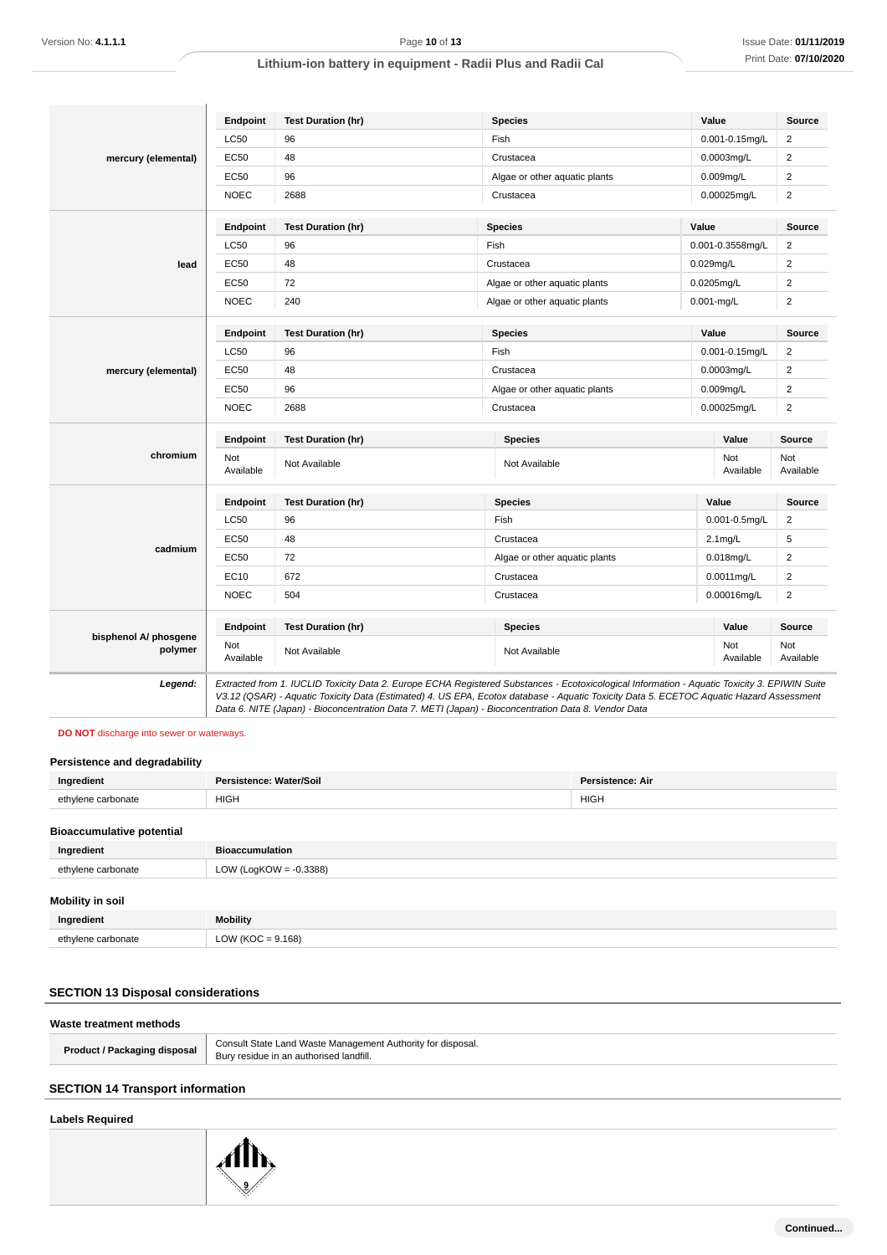|                                  | Endpoint         | <b>Test Duration (hr)</b> | <b>Species</b>                | Value            | Source                  |
|----------------------------------|------------------|---------------------------|-------------------------------|------------------|-------------------------|
|                                  | <b>LC50</b>      | 96                        | Fish                          | 0.001-0.15mg/L   | $\overline{2}$          |
| mercury (elemental)              | EC50             | 48                        | Crustacea                     | 0.0003mg/L       | $\overline{2}$          |
|                                  | EC50             | 96                        | Algae or other aquatic plants | 0.009mg/L        | $\boldsymbol{2}$        |
|                                  | <b>NOEC</b>      | 2688                      | Crustacea                     | 0.00025mg/L      | $\overline{2}$          |
|                                  | Endpoint         | <b>Test Duration (hr)</b> | <b>Species</b>                | Value            | <b>Source</b>           |
|                                  | <b>LC50</b>      | 96                        | Fish                          | 0.001-0.3558mg/L | $\overline{\mathbf{c}}$ |
| lead                             | <b>EC50</b>      | 48                        | Crustacea                     | 0.029mg/L        | $\overline{2}$          |
|                                  | <b>EC50</b>      | 72                        | Algae or other aquatic plants | 0.0205mg/L       | $\overline{2}$          |
|                                  | <b>NOEC</b>      | 240                       | Algae or other aquatic plants | $0.001$ -mg/L    | $\overline{2}$          |
|                                  | Endpoint         | <b>Test Duration (hr)</b> | <b>Species</b>                | Value            | Source                  |
|                                  | <b>LC50</b>      | 96                        | Fish                          | 0.001-0.15mg/L   | $\overline{2}$          |
| mercury (elemental)              | EC50             | 48                        | Crustacea                     | 0.0003mg/L       | $\overline{2}$          |
|                                  | <b>EC50</b>      | 96                        | Algae or other aquatic plants | $0.009$ mg/L     | $\overline{2}$          |
|                                  | <b>NOEC</b>      | 2688                      | Crustacea                     | 0.00025mg/L      | $\overline{2}$          |
|                                  | Endpoint         | <b>Test Duration (hr)</b> | <b>Species</b>                | Value            | Source                  |
| chromium                         | Not<br>Available | Not Available             | Not Available                 | Not<br>Available | Not<br>Available        |
|                                  | <b>Endpoint</b>  | <b>Test Duration (hr)</b> | <b>Species</b>                | Value            | <b>Source</b>           |
|                                  | <b>LC50</b>      | 96                        | Fish                          | 0.001-0.5mg/L    | $\overline{2}$          |
|                                  | EC50             | 48                        | Crustacea                     | $2.1$ mg/L       | 5                       |
| cadmium                          | EC50             | 72                        | Algae or other aquatic plants | $0.018$ mg/L     | $\overline{2}$          |
|                                  | EC10             | 672                       | Crustacea                     | 0.0011 mg/L      | $\overline{2}$          |
|                                  | <b>NOEC</b>      | 504                       | Crustacea                     | 0.00016mg/L      | $\overline{\mathbf{c}}$ |
|                                  | Endpoint         | <b>Test Duration (hr)</b> | <b>Species</b>                | Value            | Source                  |
| bisphenol A/ phosgene<br>polymer | Not<br>Available | Not Available             | Not Available                 | Not<br>Available | Not<br>Available        |

# **DO NOT** discharge into sewer or waterways.

### **Persistence and degradability**

| Ingredient                       | Persistence: Water/Soil   | <b>Persistence: Air</b> |
|----------------------------------|---------------------------|-------------------------|
| ethylene carbonate               | <b>HIGH</b>               | <b>HIGH</b>             |
| <b>Bioaccumulative potential</b> |                           |                         |
| Ingredient                       | <b>Bioaccumulation</b>    |                         |
| ethylene carbonate               | LOW (LogKOW = $-0.3388$ ) |                         |
| <b>Mobility in soil</b>          |                           |                         |

| ווטכּ ווו עוועטווו |                             |
|--------------------|-----------------------------|
| Ingredient         | Mobility                    |
| /lene carbonate    | $\frac{1}{1}$ (KOC = 9.168) |
|                    |                             |

# **SECTION 13 Disposal considerations**

### **Waste treatment methods**

| Product / Packaging disposal | Consult State Land Waste Management Authority for disposal.<br>Bury residue in an authorised landfill. |
|------------------------------|--------------------------------------------------------------------------------------------------------|
|                              |                                                                                                        |

# **SECTION 14 Transport information**

# **Labels Required**

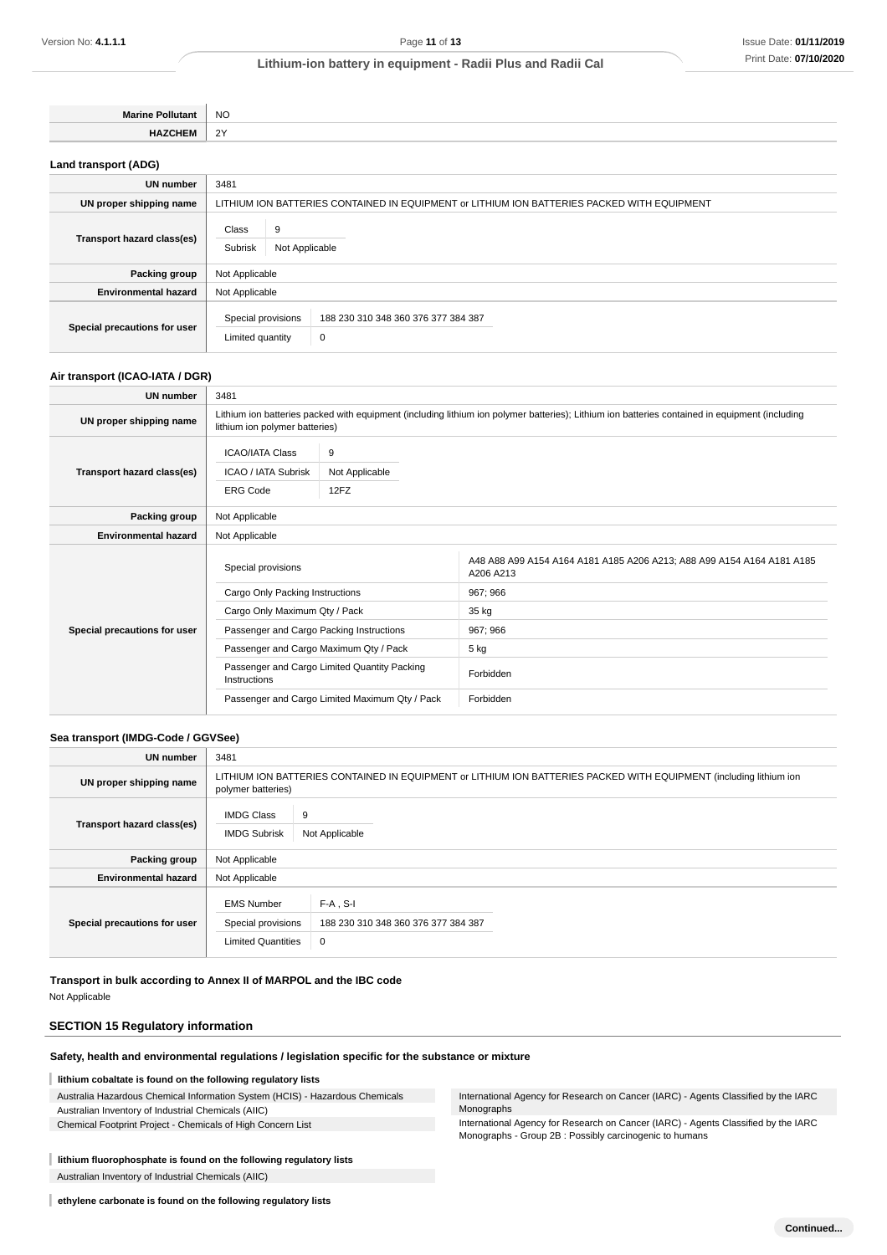| NC.                |
|--------------------|
| $\sim$<br><u>.</u> |

**Land transport (ADG)**

| <b>UN number</b>             | 3481                                                                                        |  |  |
|------------------------------|---------------------------------------------------------------------------------------------|--|--|
| UN proper shipping name      | LITHIUM ION BATTERIES CONTAINED IN EQUIPMENT or LITHIUM ION BATTERIES PACKED WITH EQUIPMENT |  |  |
| Transport hazard class(es)   | Class<br>9<br>Subrisk<br>Not Applicable                                                     |  |  |
| Packing group                | Not Applicable                                                                              |  |  |
| <b>Environmental hazard</b>  | Not Applicable                                                                              |  |  |
| Special precautions for user | Special provisions<br>188 230 310 348 360 376 377 384 387<br>0<br>Limited quantity          |  |  |

### **Air transport (ICAO-IATA / DGR)**

| <b>UN number</b>             | 3481                                                                                                                                                                             |  |                                                                                     |  |  |
|------------------------------|----------------------------------------------------------------------------------------------------------------------------------------------------------------------------------|--|-------------------------------------------------------------------------------------|--|--|
| UN proper shipping name      | Lithium ion batteries packed with equipment (including lithium ion polymer batteries); Lithium ion batteries contained in equipment (including<br>lithium ion polymer batteries) |  |                                                                                     |  |  |
| Transport hazard class(es)   | <b>ICAO/IATA Class</b><br>9<br>Not Applicable<br><b>ICAO / IATA Subrisk</b><br><b>ERG Code</b><br>12FZ                                                                           |  |                                                                                     |  |  |
|                              |                                                                                                                                                                                  |  |                                                                                     |  |  |
| Packing group                | Not Applicable                                                                                                                                                                   |  |                                                                                     |  |  |
| <b>Environmental hazard</b>  | Not Applicable                                                                                                                                                                   |  |                                                                                     |  |  |
|                              | Special provisions                                                                                                                                                               |  | A48 A88 A99 A154 A164 A181 A185 A206 A213; A88 A99 A154 A164 A181 A185<br>A206 A213 |  |  |
| Special precautions for user | Cargo Only Packing Instructions                                                                                                                                                  |  | 967; 966                                                                            |  |  |
|                              | Cargo Only Maximum Qty / Pack                                                                                                                                                    |  | 35 kg                                                                               |  |  |
|                              | Passenger and Cargo Packing Instructions                                                                                                                                         |  | 967; 966                                                                            |  |  |
|                              | Passenger and Cargo Maximum Qty / Pack                                                                                                                                           |  | $5$ kg                                                                              |  |  |
|                              | Passenger and Cargo Limited Quantity Packing<br>Instructions                                                                                                                     |  | Forbidden                                                                           |  |  |
|                              | Passenger and Cargo Limited Maximum Qty / Pack                                                                                                                                   |  | Forbidden                                                                           |  |  |

### **Sea transport (IMDG-Code / GGVSee)**

| <b>UN number</b>             | 3481                                                                 |                                                                                                                    |  |  |  |
|------------------------------|----------------------------------------------------------------------|--------------------------------------------------------------------------------------------------------------------|--|--|--|
| UN proper shipping name      | polymer batteries)                                                   | LITHIUM ION BATTERIES CONTAINED IN EQUIPMENT or LITHIUM ION BATTERIES PACKED WITH EQUIPMENT (including lithium ion |  |  |  |
| Transport hazard class(es)   | <b>IMDG Class</b><br>9<br><b>IMDG Subrisk</b><br>Not Applicable      |                                                                                                                    |  |  |  |
| Packing group                | Not Applicable                                                       |                                                                                                                    |  |  |  |
| <b>Environmental hazard</b>  | Not Applicable                                                       |                                                                                                                    |  |  |  |
| Special precautions for user | <b>EMS Number</b><br>Special provisions<br><b>Limited Quantities</b> | $F-A$ , S-I<br>188 230 310 348 360 376 377 384 387<br>0                                                            |  |  |  |

**Transport in bulk according to Annex II of MARPOL and the IBC code**

Not Applicable

# **SECTION 15 Regulatory information**

# **Safety, health and environmental regulations / legislation specific for the substance or mixture**

### **lithium cobaltate is found on the following regulatory lists**

| Australia Hazardous Chemical Information System (HCIS) - Hazardous Chemicals |
|------------------------------------------------------------------------------|
| Australian Inventory of Industrial Chemicals (AIIC)                          |
| Chemical Footprint Project - Chemicals of High Concern List                  |

# **lithium fluorophosphate is found on the following regulatory lists**

Australian Inventory of Industrial Chemicals (AIIC)

International Agency for Research on Cancer (IARC) - Agents Classified by the IARC Monographs

International Agency for Research on Cancer (IARC) - Agents Classified by the IARC Monographs - Group 2B : Possibly carcinogenic to humans

**ethylene carbonate is found on the following regulatory lists**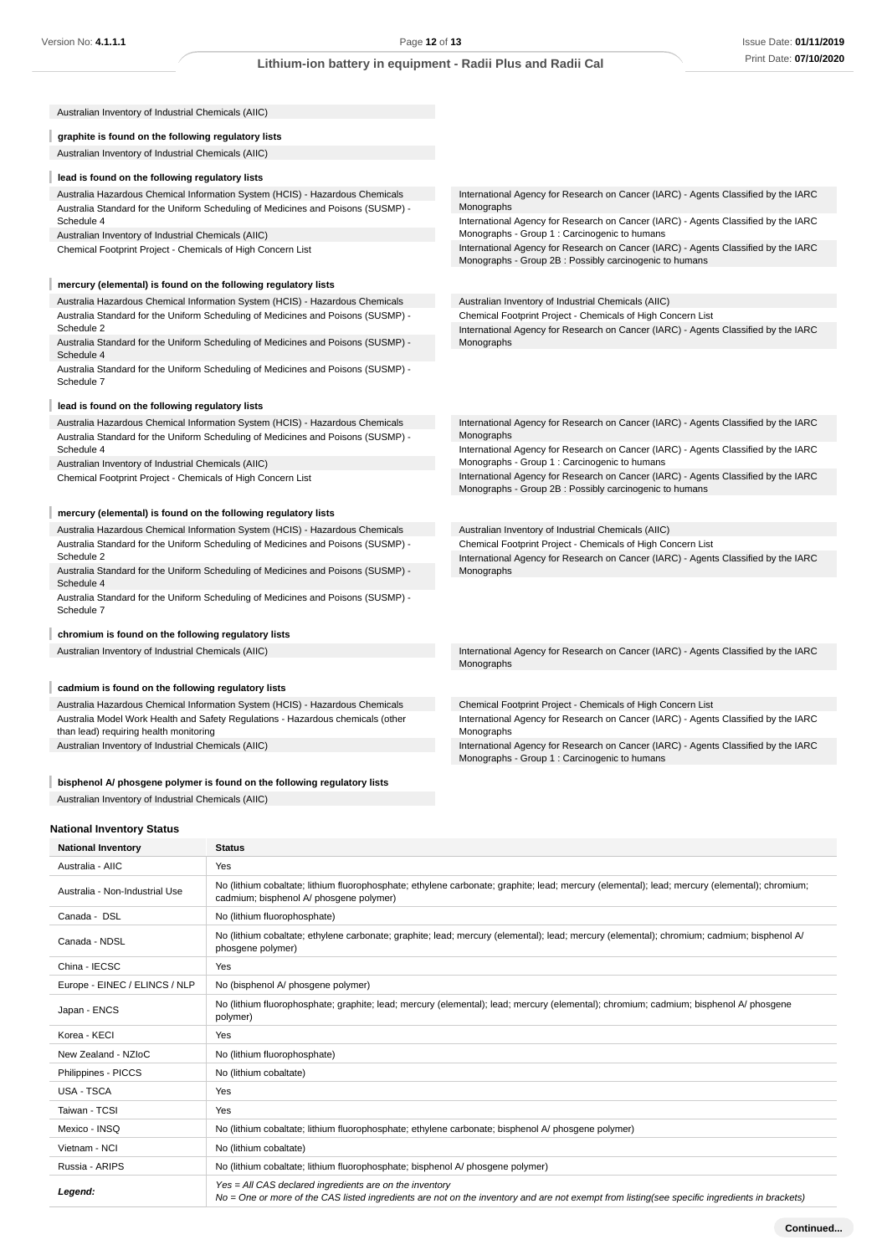| Australian Inventory of Industrial Chemicals (AIIC)                                                                       |                                                                                                                                                   |
|---------------------------------------------------------------------------------------------------------------------------|---------------------------------------------------------------------------------------------------------------------------------------------------|
| graphite is found on the following regulatory lists                                                                       |                                                                                                                                                   |
| Australian Inventory of Industrial Chemicals (AIIC)                                                                       |                                                                                                                                                   |
| lead is found on the following regulatory lists                                                                           |                                                                                                                                                   |
| Australia Hazardous Chemical Information System (HCIS) - Hazardous Chemicals                                              | International Agency for Research on Cancer (IARC) - Agents Classified by the IARC                                                                |
| Australia Standard for the Uniform Scheduling of Medicines and Poisons (SUSMP) -                                          | Monographs                                                                                                                                        |
| Schedule 4                                                                                                                | International Agency for Research on Cancer (IARC) - Agents Classified by the IARC                                                                |
| Australian Inventory of Industrial Chemicals (AIIC)                                                                       | Monographs - Group 1 : Carcinogenic to humans                                                                                                     |
| Chemical Footprint Project - Chemicals of High Concern List                                                               | International Agency for Research on Cancer (IARC) - Agents Classified by the IARC<br>Monographs - Group 2B : Possibly carcinogenic to humans     |
| mercury (elemental) is found on the following regulatory lists                                                            |                                                                                                                                                   |
| Australia Hazardous Chemical Information System (HCIS) - Hazardous Chemicals                                              | Australian Inventory of Industrial Chemicals (AIIC)                                                                                               |
| Australia Standard for the Uniform Scheduling of Medicines and Poisons (SUSMP) -<br>Schedule 2                            | Chemical Footprint Project - Chemicals of High Concern List<br>International Agency for Research on Cancer (IARC) - Agents Classified by the IARC |
| Australia Standard for the Uniform Scheduling of Medicines and Poisons (SUSMP) -<br>Schedule 4                            | Monographs                                                                                                                                        |
| Australia Standard for the Uniform Scheduling of Medicines and Poisons (SUSMP) -<br>Schedule 7                            |                                                                                                                                                   |
| lead is found on the following regulatory lists                                                                           |                                                                                                                                                   |
| Australia Hazardous Chemical Information System (HCIS) - Hazardous Chemicals                                              | International Agency for Research on Cancer (IARC) - Agents Classified by the IARC                                                                |
| Australia Standard for the Uniform Scheduling of Medicines and Poisons (SUSMP) -                                          | Monographs                                                                                                                                        |
| Schedule 4                                                                                                                | International Agency for Research on Cancer (IARC) - Agents Classified by the IARC<br>Monographs - Group 1 : Carcinogenic to humans               |
| Australian Inventory of Industrial Chemicals (AIIC)<br>Chemical Footprint Project - Chemicals of High Concern List        | International Agency for Research on Cancer (IARC) - Agents Classified by the IARC<br>Monographs - Group 2B : Possibly carcinogenic to humans     |
| mercury (elemental) is found on the following regulatory lists                                                            |                                                                                                                                                   |
| Australia Hazardous Chemical Information System (HCIS) - Hazardous Chemicals                                              | Australian Inventory of Industrial Chemicals (AIIC)                                                                                               |
| Australia Standard for the Uniform Scheduling of Medicines and Poisons (SUSMP) -                                          | Chemical Footprint Project - Chemicals of High Concern List                                                                                       |
| Schedule 2                                                                                                                | International Agency for Research on Cancer (IARC) - Agents Classified by the IARC                                                                |
| Australia Standard for the Uniform Scheduling of Medicines and Poisons (SUSMP) -<br>Schedule 4                            | Monographs                                                                                                                                        |
| Australia Standard for the Uniform Scheduling of Medicines and Poisons (SUSMP) -<br>Schedule 7                            |                                                                                                                                                   |
| chromium is found on the following regulatory lists                                                                       |                                                                                                                                                   |
| Australian Inventory of Industrial Chemicals (AIIC)                                                                       | International Agency for Research on Cancer (IARC) - Agents Classified by the IARC                                                                |
|                                                                                                                           | Monographs                                                                                                                                        |
| cadmium is found on the following regulatory lists                                                                        |                                                                                                                                                   |
| Australia Hazardous Chemical Information System (HCIS) - Hazardous Chemicals                                              | Chemical Footprint Project - Chemicals of High Concern List                                                                                       |
| Australia Model Work Health and Safety Regulations - Hazardous chemicals (other<br>than lead) requiring health monitoring | International Agency for Research on Cancer (IARC) - Agents Classified by the IARC<br>Monographs                                                  |
| Australian Inventory of Industrial Chemicals (AIIC)                                                                       | International Agency for Research on Cancer (IARC) - Agents Classified by the IARC<br>Monographs - Group 1 : Carcinogenic to humans               |
| bisphenol A/ phosgene polymer is found on the following regulatory lists                                                  |                                                                                                                                                   |

# **National Inventory Status**

| <b>National Inventory</b>      | <b>Status</b>                                                                                                                                                                                              |  |
|--------------------------------|------------------------------------------------------------------------------------------------------------------------------------------------------------------------------------------------------------|--|
| Australia - AIIC               | Yes                                                                                                                                                                                                        |  |
| Australia - Non-Industrial Use | No (lithium cobaltate; lithium fluorophosphate; ethylene carbonate; graphite; lead; mercury (elemental); lead; mercury (elemental); chromium;<br>cadmium; bisphenol A/ phosgene polymer)                   |  |
| Canada - DSL                   | No (lithium fluorophosphate)                                                                                                                                                                               |  |
| Canada - NDSL                  | No (lithium cobaltate; ethylene carbonate; graphite; lead; mercury (elemental); lead; mercury (elemental); chromium; cadmium; bisphenol A<br>phosgene polymer)                                             |  |
| China - IECSC                  | Yes                                                                                                                                                                                                        |  |
| Europe - EINEC / ELINCS / NLP  | No (bisphenol A/ phosgene polymer)                                                                                                                                                                         |  |
| Japan - ENCS                   | No (lithium fluorophosphate; graphite; lead; mercury (elemental); lead; mercury (elemental); chromium; cadmium; bisphenol A/ phosgene<br>polymer)                                                          |  |
| Korea - KECI                   | Yes                                                                                                                                                                                                        |  |
| New Zealand - NZIoC            | No (lithium fluorophosphate)                                                                                                                                                                               |  |
| Philippines - PICCS            | No (lithium cobaltate)                                                                                                                                                                                     |  |
| <b>USA - TSCA</b>              | Yes                                                                                                                                                                                                        |  |
| Taiwan - TCSI                  | Yes                                                                                                                                                                                                        |  |
| Mexico - INSQ                  | No (lithium cobaltate; lithium fluorophosphate; ethylene carbonate; bisphenol A/ phosqene polymer)                                                                                                         |  |
| Vietnam - NCI                  | No (lithium cobaltate)                                                                                                                                                                                     |  |
| Russia - ARIPS                 | No (lithium cobaltate; lithium fluorophosphate; bisphenol A/ phosqene polymer)                                                                                                                             |  |
| Legend:                        | $Yes = All CAS declared ingredients are on the inventory$<br>No = One or more of the CAS listed ingredients are not on the inventory and are not exempt from listing(see specific ingredients in brackets) |  |